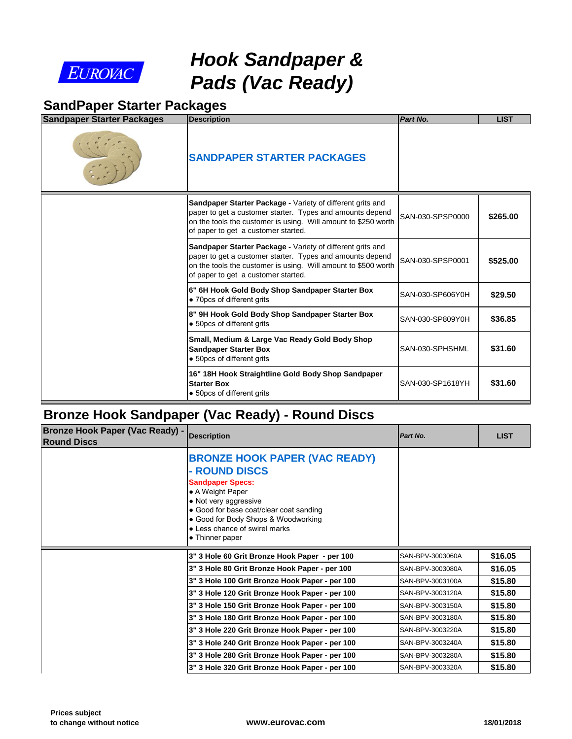

# *Hook Sandpaper & Pads (Vac Ready)*

#### **SandPaper Starter Packages**

| <b>Sandpaper Starter Packages</b> | <b>Description</b>                                                                                                                                                                                                               | Part No.         |
|-----------------------------------|----------------------------------------------------------------------------------------------------------------------------------------------------------------------------------------------------------------------------------|------------------|
|                                   | <b>SANDPAPER STARTER PACKAGES</b>                                                                                                                                                                                                |                  |
|                                   | Sandpaper Starter Package - Variety of different grits and<br>paper to get a customer starter. Types and amounts depend<br>on the tools the customer is using. Will amount to \$250 worth<br>of paper to get a customer started. | SAN-030-SPSP0000 |
|                                   | Sandpaper Starter Package - Variety of different grits and<br>paper to get a customer starter. Types and amounts depend<br>on the tools the customer is using. Will amount to \$500 worth<br>of paper to get a customer started. | SAN-030-SPSP0001 |
|                                   | 6" 6H Hook Gold Body Shop Sandpaper Starter Box<br>• 70pcs of different grits                                                                                                                                                    | SAN-030-SP606Y0H |
|                                   | 8" 9H Hook Gold Body Shop Sandpaper Starter Box<br>• 50pcs of different grits                                                                                                                                                    | SAN-030-SP809Y0H |
|                                   | Small, Medium & Large Vac Ready Gold Body Shop<br><b>Sandpaper Starter Box</b><br>• 50pcs of different grits                                                                                                                     | SAN-030-SPHSHML  |
|                                   | 16" 18H Hook Straightline Gold Body Shop Sandpaper<br><b>Starter Box</b><br>• 50pcs of different grits                                                                                                                           | SAN-030-SP1618YH |

### **Bronze Hook Sandpaper (Vac Ready) - Round Discs**

| Bronze Hook Paper (Vac Ready) - Description<br><b>Round Discs</b> |                                                                                                                                                                                                                                                                     | Part No.         |
|-------------------------------------------------------------------|---------------------------------------------------------------------------------------------------------------------------------------------------------------------------------------------------------------------------------------------------------------------|------------------|
|                                                                   | <b>BRONZE HOOK PAPER (VAC READY)</b><br>- ROUND DISCS<br><b>Sandpaper Specs:</b><br>• A Weight Paper<br>• Not very aggressive<br>• Good for base coat/clear coat sanding<br>• Good for Body Shops & Woodworking<br>• Less chance of swirel marks<br>• Thinner paper |                  |
|                                                                   | 3" 3 Hole 60 Grit Bronze Hook Paper - per 100                                                                                                                                                                                                                       | SAN-BPV-3003060A |
|                                                                   | 3" 3 Hole 80 Grit Bronze Hook Paper - per 100                                                                                                                                                                                                                       | SAN-BPV-3003080A |
|                                                                   | 3" 3 Hole 100 Grit Bronze Hook Paper - per 100                                                                                                                                                                                                                      | SAN-BPV-3003100A |
|                                                                   | 3" 3 Hole 120 Grit Bronze Hook Paper - per 100                                                                                                                                                                                                                      | SAN-BPV-3003120A |
|                                                                   | 3" 3 Hole 150 Grit Bronze Hook Paper - per 100                                                                                                                                                                                                                      | SAN-BPV-3003150A |
|                                                                   | 3" 3 Hole 180 Grit Bronze Hook Paper - per 100                                                                                                                                                                                                                      | SAN-BPV-3003180A |
|                                                                   | 3" 3 Hole 220 Grit Bronze Hook Paper - per 100                                                                                                                                                                                                                      | SAN-BPV-3003220A |
|                                                                   | 3" 3 Hole 240 Grit Bronze Hook Paper - per 100                                                                                                                                                                                                                      | SAN-BPV-3003240A |
|                                                                   |                                                                                                                                                                                                                                                                     |                  |
|                                                                   | 3" 3 Hole 280 Grit Bronze Hook Paper - per 100                                                                                                                                                                                                                      | SAN-BPV-3003280A |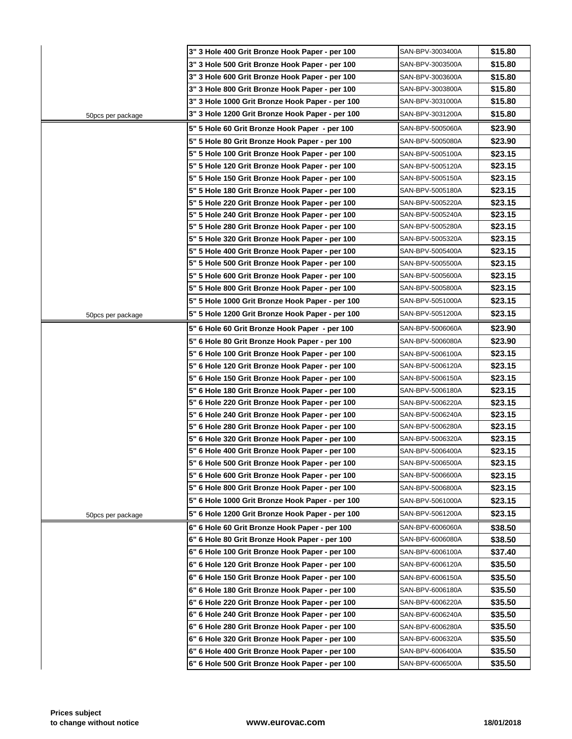|                    | 3" 3 Hole 400 Grit Bronze Hook Paper - per 100  | SAN-BPV-3003400A |
|--------------------|-------------------------------------------------|------------------|
|                    | 3" 3 Hole 500 Grit Bronze Hook Paper - per 100  | SAN-BPV-3003500A |
|                    | 3" 3 Hole 600 Grit Bronze Hook Paper - per 100  | SAN-BPV-3003600A |
|                    | 3" 3 Hole 800 Grit Bronze Hook Paper - per 100  | SAN-BPV-3003800A |
|                    | 3" 3 Hole 1000 Grit Bronze Hook Paper - per 100 | SAN-BPV-3031000A |
| 50pcs per package  | 3" 3 Hole 1200 Grit Bronze Hook Paper - per 100 | SAN-BPV-3031200A |
|                    | 5" 5 Hole 60 Grit Bronze Hook Paper - per 100   | SAN-BPV-5005060A |
|                    | 5" 5 Hole 80 Grit Bronze Hook Paper - per 100   | SAN-BPV-5005080A |
|                    | 5" 5 Hole 100 Grit Bronze Hook Paper - per 100  | SAN-BPV-5005100A |
|                    | 5" 5 Hole 120 Grit Bronze Hook Paper - per 100  | SAN-BPV-5005120A |
|                    | 5" 5 Hole 150 Grit Bronze Hook Paper - per 100  | SAN-BPV-5005150A |
|                    | 5" 5 Hole 180 Grit Bronze Hook Paper - per 100  | SAN-BPV-5005180A |
|                    | 5" 5 Hole 220 Grit Bronze Hook Paper - per 100  | SAN-BPV-5005220A |
|                    | 5" 5 Hole 240 Grit Bronze Hook Paper - per 100  | SAN-BPV-5005240A |
|                    | 5" 5 Hole 280 Grit Bronze Hook Paper - per 100  | SAN-BPV-5005280A |
|                    | 5" 5 Hole 320 Grit Bronze Hook Paper - per 100  | SAN-BPV-5005320A |
|                    | 5" 5 Hole 400 Grit Bronze Hook Paper - per 100  | SAN-BPV-5005400A |
|                    | 5" 5 Hole 500 Grit Bronze Hook Paper - per 100  | SAN-BPV-5005500A |
|                    | 5" 5 Hole 600 Grit Bronze Hook Paper - per 100  | SAN-BPV-5005600A |
|                    | 5" 5 Hole 800 Grit Bronze Hook Paper - per 100  | SAN-BPV-5005800A |
|                    | 5" 5 Hole 1000 Grit Bronze Hook Paper - per 100 | SAN-BPV-5051000A |
| 50pcs per package  | 5" 5 Hole 1200 Grit Bronze Hook Paper - per 100 | SAN-BPV-5051200A |
|                    | 5" 6 Hole 60 Grit Bronze Hook Paper - per 100   | SAN-BPV-5006060A |
|                    | 5" 6 Hole 80 Grit Bronze Hook Paper - per 100   | SAN-BPV-5006080A |
|                    | 5" 6 Hole 100 Grit Bronze Hook Paper - per 100  | SAN-BPV-5006100A |
|                    | 5" 6 Hole 120 Grit Bronze Hook Paper - per 100  | SAN-BPV-5006120A |
|                    | 5" 6 Hole 150 Grit Bronze Hook Paper - per 100  | SAN-BPV-5006150A |
|                    | 5" 6 Hole 180 Grit Bronze Hook Paper - per 100  | SAN-BPV-5006180A |
|                    | 5" 6 Hole 220 Grit Bronze Hook Paper - per 100  | SAN-BPV-5006220A |
|                    | 5" 6 Hole 240 Grit Bronze Hook Paper - per 100  | SAN-BPV-5006240A |
|                    | 5" 6 Hole 280 Grit Bronze Hook Paper - per 100  | SAN-BPV-5006280A |
|                    | 5" 6 Hole 320 Grit Bronze Hook Paper - per 100  | SAN-BPV-5006320A |
|                    | 5" 6 Hole 400 Grit Bronze Hook Paper - per 100  | SAN-BPV-5006400A |
|                    | 5" 6 Hole 500 Grit Bronze Hook Paper - per 100  | SAN-BPV-5006500A |
|                    | 5" 6 Hole 600 Grit Bronze Hook Paper - per 100  | SAN-BPV-5006600A |
|                    | 5" 6 Hole 800 Grit Bronze Hook Paper - per 100  | SAN-BPV-5006800A |
|                    | 5" 6 Hole 1000 Grit Bronze Hook Paper - per 100 | SAN-BPV-5061000A |
| 50 pcs per package | 5" 6 Hole 1200 Grit Bronze Hook Paper - per 100 | SAN-BPV-5061200A |
|                    | 6" 6 Hole 60 Grit Bronze Hook Paper - per 100   | SAN-BPV-6006060A |
|                    | 6" 6 Hole 80 Grit Bronze Hook Paper - per 100   | SAN-BPV-6006080A |
|                    | 6" 6 Hole 100 Grit Bronze Hook Paper - per 100  | SAN-BPV-6006100A |
|                    | 6" 6 Hole 120 Grit Bronze Hook Paper - per 100  | SAN-BPV-6006120A |
|                    | 6" 6 Hole 150 Grit Bronze Hook Paper - per 100  | SAN-BPV-6006150A |
|                    | 6" 6 Hole 180 Grit Bronze Hook Paper - per 100  | SAN-BPV-6006180A |
|                    | 6" 6 Hole 220 Grit Bronze Hook Paper - per 100  | SAN-BPV-6006220A |
|                    | 6" 6 Hole 240 Grit Bronze Hook Paper - per 100  | SAN-BPV-6006240A |
|                    | 6" 6 Hole 280 Grit Bronze Hook Paper - per 100  | SAN-BPV-6006280A |
|                    | 6" 6 Hole 320 Grit Bronze Hook Paper - per 100  | SAN-BPV-6006320A |
|                    | 6" 6 Hole 400 Grit Bronze Hook Paper - per 100  | SAN-BPV-6006400A |
|                    | 6" 6 Hole 500 Grit Bronze Hook Paper - per 100  | SAN-BPV-6006500A |
|                    |                                                 |                  |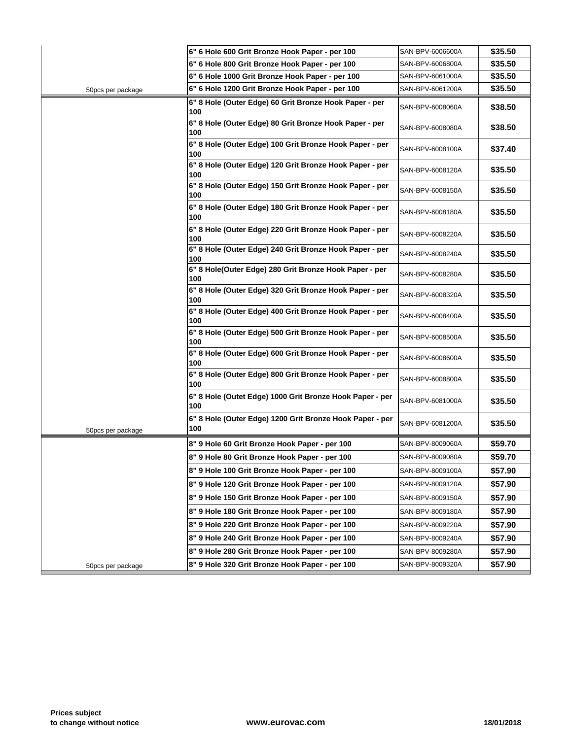|                   | 6" 6 Hole 600 Grit Bronze Hook Paper - per 100                  | SAN-BPV-6006600A |
|-------------------|-----------------------------------------------------------------|------------------|
|                   | 6" 6 Hole 800 Grit Bronze Hook Paper - per 100                  | SAN-BPV-6006800A |
|                   | 6" 6 Hole 1000 Grit Bronze Hook Paper - per 100                 | SAN-BPV-6061000A |
| 50pcs per package | 6" 6 Hole 1200 Grit Bronze Hook Paper - per 100                 | SAN-BPV-6061200A |
|                   | 6" 8 Hole (Outer Edge) 60 Grit Bronze Hook Paper - per<br>100   | SAN-BPV-6008060A |
|                   | 6" 8 Hole (Outer Edge) 80 Grit Bronze Hook Paper - per<br>100   | SAN-BPV-6008080A |
|                   | 6" 8 Hole (Outer Edge) 100 Grit Bronze Hook Paper - per<br>100  | SAN-BPV-6008100A |
|                   | 6" 8 Hole (Outer Edge) 120 Grit Bronze Hook Paper - per<br>100  | SAN-BPV-6008120A |
|                   | 6" 8 Hole (Outer Edge) 150 Grit Bronze Hook Paper - per<br>100  | SAN-BPV-6008150A |
|                   | 6" 8 Hole (Outer Edge) 180 Grit Bronze Hook Paper - per<br>100  | SAN-BPV-6008180A |
|                   | 6" 8 Hole (Outer Edge) 220 Grit Bronze Hook Paper - per<br>100  | SAN-BPV-6008220A |
|                   | 6" 8 Hole (Outer Edge) 240 Grit Bronze Hook Paper - per<br>100  | SAN-BPV-6008240A |
|                   | 6" 8 Hole(Outer Edge) 280 Grit Bronze Hook Paper - per<br>100   | SAN-BPV-6008280A |
|                   | 6" 8 Hole (Outer Edge) 320 Grit Bronze Hook Paper - per<br>100  | SAN-BPV-6008320A |
|                   | 6" 8 Hole (Outer Edge) 400 Grit Bronze Hook Paper - per<br>100  | SAN-BPV-6008400A |
|                   | 6" 8 Hole (Outer Edge) 500 Grit Bronze Hook Paper - per<br>100  | SAN-BPV-6008500A |
|                   | 6" 8 Hole (Outer Edge) 600 Grit Bronze Hook Paper - per<br>100  | SAN-BPV-6008600A |
|                   | 6" 8 Hole (Outer Edge) 800 Grit Bronze Hook Paper - per<br>100  | SAN-BPV-6008800A |
|                   | 6" 8 Hole (Outet Edge) 1000 Grit Bronze Hook Paper - per<br>100 | SAN-BPV-6081000A |
| 50pcs per package | 6" 8 Hole (Outer Edge) 1200 Grit Bronze Hook Paper - per<br>100 | SAN-BPV-6081200A |
|                   | 8" 9 Hole 60 Grit Bronze Hook Paper - per 100                   | SAN-BPV-8009060A |
|                   | 8" 9 Hole 80 Grit Bronze Hook Paper - per 100                   | SAN-BPV-8009080A |
|                   | 8" 9 Hole 100 Grit Bronze Hook Paper - per 100                  | SAN-BPV-8009100A |
|                   | 8" 9 Hole 120 Grit Bronze Hook Paper - per 100                  | SAN-BPV-8009120A |
|                   | 8" 9 Hole 150 Grit Bronze Hook Paper - per 100                  | SAN-BPV-8009150A |
|                   | 8" 9 Hole 180 Grit Bronze Hook Paper - per 100                  | SAN-BPV-8009180A |
|                   | 8" 9 Hole 220 Grit Bronze Hook Paper - per 100                  | SAN-BPV-8009220A |
|                   | 8" 9 Hole 240 Grit Bronze Hook Paper - per 100                  | SAN-BPV-8009240A |
|                   | 8" 9 Hole 280 Grit Bronze Hook Paper - per 100                  | SAN-BPV-8009280A |
| 50pcs per package | 8" 9 Hole 320 Grit Bronze Hook Paper - per 100                  | SAN-BPV-8009320A |
|                   |                                                                 |                  |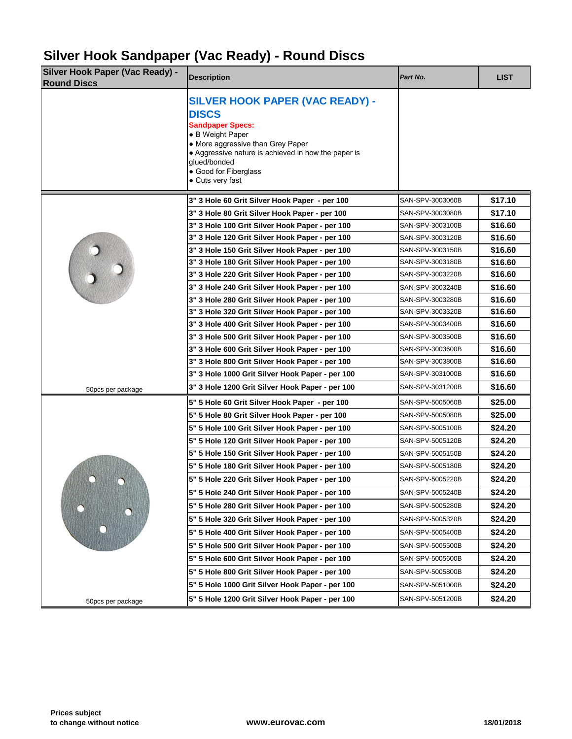### **Silver Hook Sandpaper (Vac Ready) - Round Discs**

| <b>Silver Hook Paper (Vac Ready) -</b><br><b>Round Discs</b> | <b>Description</b>                                                                                                                                                                                                                                             | Part No.         |
|--------------------------------------------------------------|----------------------------------------------------------------------------------------------------------------------------------------------------------------------------------------------------------------------------------------------------------------|------------------|
|                                                              | <b>SILVER HOOK PAPER (VAC READY) -</b><br><b>DISCS</b><br><b>Sandpaper Specs:</b><br>• B Weight Paper<br>• More aggressive than Grey Paper<br>• Aggressive nature is achieved in how the paper is<br>glued/bonded<br>• Good for Fiberglass<br>• Cuts very fast |                  |
|                                                              | 3" 3 Hole 60 Grit Silver Hook Paper - per 100                                                                                                                                                                                                                  | SAN-SPV-3003060B |
|                                                              | 3" 3 Hole 80 Grit Silver Hook Paper - per 100                                                                                                                                                                                                                  | SAN-SPV-3003080B |
|                                                              | 3" 3 Hole 100 Grit Silver Hook Paper - per 100                                                                                                                                                                                                                 | SAN-SPV-3003100B |
|                                                              | 3" 3 Hole 120 Grit Silver Hook Paper - per 100                                                                                                                                                                                                                 | SAN-SPV-3003120B |
|                                                              | 3" 3 Hole 150 Grit Silver Hook Paper - per 100                                                                                                                                                                                                                 | SAN-SPV-3003150B |
|                                                              | 3" 3 Hole 180 Grit Silver Hook Paper - per 100                                                                                                                                                                                                                 | SAN-SPV-3003180B |
|                                                              | 3" 3 Hole 220 Grit Silver Hook Paper - per 100                                                                                                                                                                                                                 | SAN-SPV-3003220B |
|                                                              | 3" 3 Hole 240 Grit Silver Hook Paper - per 100                                                                                                                                                                                                                 | SAN-SPV-3003240B |
|                                                              | 3" 3 Hole 280 Grit Silver Hook Paper - per 100                                                                                                                                                                                                                 | SAN-SPV-3003280B |
|                                                              | 3" 3 Hole 320 Grit Silver Hook Paper - per 100                                                                                                                                                                                                                 | SAN-SPV-3003320B |
|                                                              | 3" 3 Hole 400 Grit Silver Hook Paper - per 100                                                                                                                                                                                                                 | SAN-SPV-3003400B |
|                                                              | 3" 3 Hole 500 Grit Silver Hook Paper - per 100                                                                                                                                                                                                                 | SAN-SPV-3003500B |
|                                                              | 3" 3 Hole 600 Grit Silver Hook Paper - per 100                                                                                                                                                                                                                 | SAN-SPV-3003600B |
|                                                              | 3" 3 Hole 800 Grit Silver Hook Paper - per 100                                                                                                                                                                                                                 | SAN-SPV-3003800B |
|                                                              | 3" 3 Hole 1000 Grit Silver Hook Paper - per 100                                                                                                                                                                                                                | SAN-SPV-3031000B |
| 50pcs per package                                            | 3" 3 Hole 1200 Grit Silver Hook Paper - per 100                                                                                                                                                                                                                | SAN-SPV-3031200B |
|                                                              | 5" 5 Hole 60 Grit Silver Hook Paper - per 100                                                                                                                                                                                                                  | SAN-SPV-5005060B |
|                                                              | 5" 5 Hole 80 Grit Silver Hook Paper - per 100                                                                                                                                                                                                                  | SAN-SPV-5005080B |
|                                                              | 5" 5 Hole 100 Grit Silver Hook Paper - per 100                                                                                                                                                                                                                 | SAN-SPV-5005100B |
|                                                              | 5" 5 Hole 120 Grit Silver Hook Paper - per 100                                                                                                                                                                                                                 | SAN-SPV-5005120B |
|                                                              | 5" 5 Hole 150 Grit Silver Hook Paper - per 100                                                                                                                                                                                                                 | SAN-SPV-5005150B |
|                                                              | 5" 5 Hole 180 Grit Silver Hook Paper - per 100                                                                                                                                                                                                                 | SAN-SPV-5005180B |
| $\Box$                                                       | 5" 5 Hole 220 Grit Silver Hook Paper - per 100                                                                                                                                                                                                                 | SAN-SPV-5005220B |
|                                                              | 5" 5 Hole 240 Grit Silver Hook Paper - per 100                                                                                                                                                                                                                 | SAN-SPV-5005240B |
|                                                              | 5" 5 Hole 280 Grit Silver Hook Paper - per 100                                                                                                                                                                                                                 | SAN-SPV-5005280B |
|                                                              | 5" 5 Hole 320 Grit Silver Hook Paper - per 100                                                                                                                                                                                                                 | SAN-SPV-5005320B |
|                                                              | 5" 5 Hole 400 Grit Silver Hook Paper - per 100                                                                                                                                                                                                                 | SAN-SPV-5005400B |
|                                                              | 5" 5 Hole 500 Grit Silver Hook Paper - per 100                                                                                                                                                                                                                 | SAN-SPV-5005500B |
|                                                              | 5" 5 Hole 600 Grit Silver Hook Paper - per 100                                                                                                                                                                                                                 | SAN-SPV-5005600B |
|                                                              | 5" 5 Hole 800 Grit Silver Hook Paper - per 100                                                                                                                                                                                                                 | SAN-SPV-5005800B |
|                                                              | 5" 5 Hole 1000 Grit Silver Hook Paper - per 100                                                                                                                                                                                                                | SAN-SPV-5051000B |
| 50pcs per package                                            | 5" 5 Hole 1200 Grit Silver Hook Paper - per 100                                                                                                                                                                                                                | SAN-SPV-5051200B |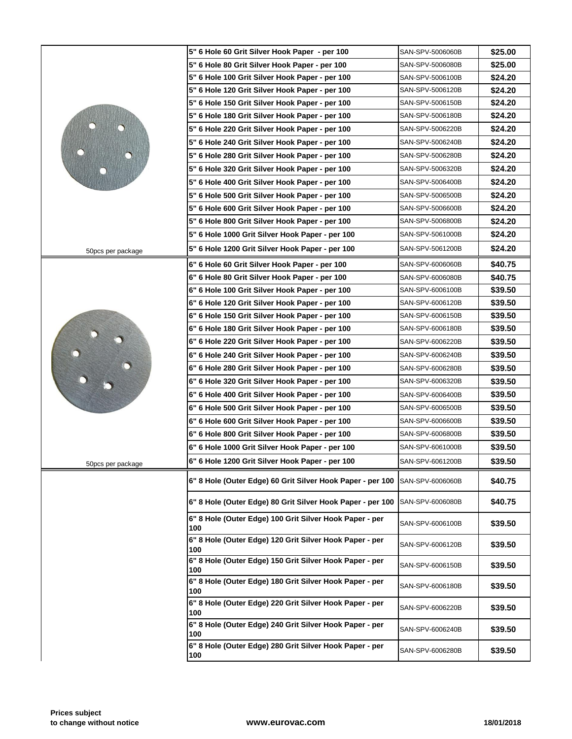|                   | 5" 6 Hole 60 Grit Silver Hook Paper - per 100                  | SAN-SPV-5006060B |
|-------------------|----------------------------------------------------------------|------------------|
|                   | 5" 6 Hole 80 Grit Silver Hook Paper - per 100                  | SAN-SPV-5006080B |
|                   | 5" 6 Hole 100 Grit Silver Hook Paper - per 100                 | SAN-SPV-5006100B |
|                   | 5" 6 Hole 120 Grit Silver Hook Paper - per 100                 | SAN-SPV-5006120B |
|                   | 5" 6 Hole 150 Grit Silver Hook Paper - per 100                 | SAN-SPV-5006150B |
|                   | 5" 6 Hole 180 Grit Silver Hook Paper - per 100                 | SAN-SPV-5006180B |
|                   | 5" 6 Hole 220 Grit Silver Hook Paper - per 100                 | SAN-SPV-5006220B |
|                   | 5" 6 Hole 240 Grit Silver Hook Paper - per 100                 | SAN-SPV-5006240B |
|                   | 5" 6 Hole 280 Grit Silver Hook Paper - per 100                 | SAN-SPV-5006280B |
|                   | 5" 6 Hole 320 Grit Silver Hook Paper - per 100                 | SAN-SPV-5006320B |
|                   | 5" 6 Hole 400 Grit Silver Hook Paper - per 100                 | SAN-SPV-5006400B |
|                   | 5" 6 Hole 500 Grit Silver Hook Paper - per 100                 | SAN-SPV-5006500B |
|                   | 5" 6 Hole 600 Grit Silver Hook Paper - per 100                 | SAN-SPV-5006600B |
|                   | 5" 6 Hole 800 Grit Silver Hook Paper - per 100                 | SAN-SPV-5006800B |
|                   | 5" 6 Hole 1000 Grit Silver Hook Paper - per 100                | SAN-SPV-5061000B |
| 50pcs per package | 5" 6 Hole 1200 Grit Silver Hook Paper - per 100                | SAN-SPV-5061200B |
|                   | 6" 6 Hole 60 Grit Silver Hook Paper - per 100                  | SAN-SPV-6006060B |
|                   | 6" 6 Hole 80 Grit Silver Hook Paper - per 100                  | SAN-SPV-6006080B |
|                   | 6" 6 Hole 100 Grit Silver Hook Paper - per 100                 | SAN-SPV-6006100B |
|                   | 6" 6 Hole 120 Grit Silver Hook Paper - per 100                 | SAN-SPV-6006120B |
|                   | 6" 6 Hole 150 Grit Silver Hook Paper - per 100                 | SAN-SPV-6006150B |
|                   | 6" 6 Hole 180 Grit Silver Hook Paper - per 100                 | SAN-SPV-6006180B |
|                   | 6" 6 Hole 220 Grit Silver Hook Paper - per 100                 | SAN-SPV-6006220B |
|                   | 6" 6 Hole 240 Grit Silver Hook Paper - per 100                 | SAN-SPV-6006240B |
|                   | 6" 6 Hole 280 Grit Silver Hook Paper - per 100                 | SAN-SPV-6006280B |
|                   | 6" 6 Hole 320 Grit Silver Hook Paper - per 100                 | SAN-SPV-6006320B |
|                   | 6" 6 Hole 400 Grit Silver Hook Paper - per 100                 | SAN-SPV-6006400B |
|                   | 6" 6 Hole 500 Grit Silver Hook Paper - per 100                 | SAN-SPV-6006500B |
|                   | 6" 6 Hole 600 Grit Silver Hook Paper - per 100                 | SAN-SPV-6006600B |
|                   | 6" 6 Hole 800 Grit Silver Hook Paper - per 100                 | SAN-SPV-6006800B |
|                   | 6" 6 Hole 1000 Grit Silver Hook Paper - per 100                | SAN-SPV-6061000B |
| 50pcs per package | 6" 6 Hole 1200 Grit Silver Hook Paper - per 100                | SAN-SPV-6061200B |
|                   | 6" 8 Hole (Outer Edge) 60 Grit Silver Hook Paper - per 100     | SAN-SPV-6006060B |
|                   | 6" 8 Hole (Outer Edge) 80 Grit Silver Hook Paper - per 100     | SAN-SPV-6006080B |
|                   | 6" 8 Hole (Outer Edge) 100 Grit Silver Hook Paper - per<br>100 | SAN-SPV-6006100B |
|                   | 6" 8 Hole (Outer Edge) 120 Grit Silver Hook Paper - per<br>100 | SAN-SPV-6006120B |
|                   | 6" 8 Hole (Outer Edge) 150 Grit Silver Hook Paper - per<br>100 | SAN-SPV-6006150B |
|                   | 6" 8 Hole (Outer Edge) 180 Grit Silver Hook Paper - per<br>100 | SAN-SPV-6006180B |
|                   | 6" 8 Hole (Outer Edge) 220 Grit Silver Hook Paper - per<br>100 | SAN-SPV-6006220B |
|                   | 6" 8 Hole (Outer Edge) 240 Grit Silver Hook Paper - per<br>100 | SAN-SPV-6006240B |
|                   | 6" 8 Hole (Outer Edge) 280 Grit Silver Hook Paper - per<br>100 | SAN-SPV-6006280B |
|                   |                                                                |                  |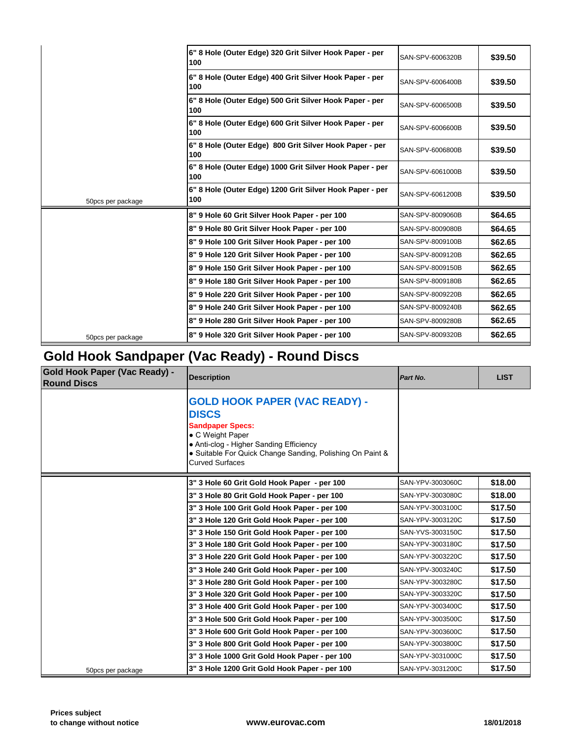| SAN-SPV-6006320B |
|------------------|
| SAN-SPV-6006400B |
| SAN-SPV-6006500B |
| SAN-SPV-6006600B |
| SAN-SPV-6006800B |
| SAN-SPV-6061000B |
| SAN-SPV-6061200B |
| SAN-SPV-8009060B |
| SAN-SPV-8009080B |
| SAN-SPV-8009100B |
| SAN-SPV-8009120B |
| SAN-SPV-8009150B |
|                  |
| SAN-SPV-8009180B |
| SAN-SPV-8009220B |
| SAN-SPV-8009240B |
| SAN-SPV-8009280B |
|                  |

# **Gold Hook Sandpaper (Vac Ready) - Round Discs**

| <b>Gold Hook Paper (Vac Ready) -</b><br><b>Round Discs</b> | <b>Description</b>                                                                                                                                                                                                                    | Part No.         |
|------------------------------------------------------------|---------------------------------------------------------------------------------------------------------------------------------------------------------------------------------------------------------------------------------------|------------------|
|                                                            | <b>GOLD HOOK PAPER (VAC READY) -</b><br><b>DISCS</b><br><b>Sandpaper Specs:</b><br>• C Weight Paper<br>• Anti-clog - Higher Sanding Efficiency<br>• Suitable For Quick Change Sanding, Polishing On Paint &<br><b>Curved Surfaces</b> |                  |
|                                                            | 3" 3 Hole 60 Grit Gold Hook Paper - per 100                                                                                                                                                                                           | SAN-YPV-3003060C |
|                                                            | 3" 3 Hole 80 Grit Gold Hook Paper - per 100                                                                                                                                                                                           | SAN-YPV-3003080C |
|                                                            | 3" 3 Hole 100 Grit Gold Hook Paper - per 100                                                                                                                                                                                          | SAN-YPV-3003100C |
|                                                            | 3" 3 Hole 120 Grit Gold Hook Paper - per 100                                                                                                                                                                                          | SAN-YPV-3003120C |
|                                                            | 3" 3 Hole 150 Grit Gold Hook Paper - per 100                                                                                                                                                                                          | SAN-YVS-3003150C |
|                                                            | 3" 3 Hole 180 Grit Gold Hook Paper - per 100                                                                                                                                                                                          | SAN-YPV-3003180C |
|                                                            | 3" 3 Hole 220 Grit Gold Hook Paper - per 100                                                                                                                                                                                          | SAN-YPV-3003220C |
|                                                            | 3" 3 Hole 240 Grit Gold Hook Paper - per 100                                                                                                                                                                                          | SAN-YPV-3003240C |
|                                                            | 3" 3 Hole 280 Grit Gold Hook Paper - per 100                                                                                                                                                                                          | SAN-YPV-3003280C |
|                                                            | 3" 3 Hole 320 Grit Gold Hook Paper - per 100                                                                                                                                                                                          | SAN-YPV-3003320C |
|                                                            | 3" 3 Hole 400 Grit Gold Hook Paper - per 100                                                                                                                                                                                          | SAN-YPV-3003400C |
|                                                            | 3" 3 Hole 500 Grit Gold Hook Paper - per 100                                                                                                                                                                                          | SAN-YPV-3003500C |
|                                                            | 3" 3 Hole 600 Grit Gold Hook Paper - per 100                                                                                                                                                                                          | SAN-YPV-3003600C |
|                                                            | 3" 3 Hole 800 Grit Gold Hook Paper - per 100                                                                                                                                                                                          | SAN-YPV-3003800C |
|                                                            | 3" 3 Hole 1000 Grit Gold Hook Paper - per 100                                                                                                                                                                                         | SAN-YPV-3031000C |
| 50pcs per package                                          | 3" 3 Hole 1200 Grit Gold Hook Paper - per 100                                                                                                                                                                                         | SAN-YPV-3031200C |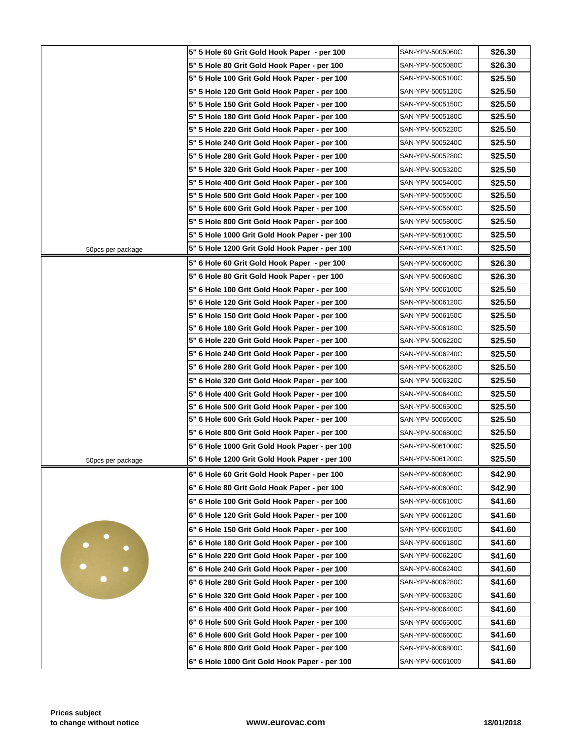|                   | 5" 5 Hole 60 Grit Gold Hook Paper - per 100   | SAN-YPV-5005060C |
|-------------------|-----------------------------------------------|------------------|
|                   | 5" 5 Hole 80 Grit Gold Hook Paper - per 100   | SAN-YPV-5005080C |
|                   | 5" 5 Hole 100 Grit Gold Hook Paper - per 100  | SAN-YPV-5005100C |
|                   | 5" 5 Hole 120 Grit Gold Hook Paper - per 100  | SAN-YPV-5005120C |
|                   | 5" 5 Hole 150 Grit Gold Hook Paper - per 100  | SAN-YPV-5005150C |
|                   | 5" 5 Hole 180 Grit Gold Hook Paper - per 100  | SAN-YPV-5005180C |
|                   | 5" 5 Hole 220 Grit Gold Hook Paper - per 100  | SAN-YPV-5005220C |
|                   | 5" 5 Hole 240 Grit Gold Hook Paper - per 100  | SAN-YPV-5005240C |
|                   | 5" 5 Hole 280 Grit Gold Hook Paper - per 100  | SAN-YPV-5005280C |
|                   | 5" 5 Hole 320 Grit Gold Hook Paper - per 100  | SAN-YPV-5005320C |
|                   | 5" 5 Hole 400 Grit Gold Hook Paper - per 100  | SAN-YPV-5005400C |
|                   | 5" 5 Hole 500 Grit Gold Hook Paper - per 100  | SAN-YPV-5005500C |
|                   | 5" 5 Hole 600 Grit Gold Hook Paper - per 100  | SAN-YPV-5005600C |
|                   | 5" 5 Hole 800 Grit Gold Hook Paper - per 100  | SAN-YPV-5005800C |
|                   | 5" 5 Hole 1000 Grit Gold Hook Paper - per 100 | SAN-YPV-5051000C |
| 50pcs per package | 5" 5 Hole 1200 Grit Gold Hook Paper - per 100 | SAN-YPV-5051200C |
|                   | 5" 6 Hole 60 Grit Gold Hook Paper - per 100   | SAN-YPV-5006060C |
|                   | 5" 6 Hole 80 Grit Gold Hook Paper - per 100   | SAN-YPV-5006080C |
|                   | 5" 6 Hole 100 Grit Gold Hook Paper - per 100  | SAN-YPV-5006100C |
|                   | 5" 6 Hole 120 Grit Gold Hook Paper - per 100  | SAN-YPV-5006120C |
|                   | 5" 6 Hole 150 Grit Gold Hook Paper - per 100  | SAN-YPV-5006150C |
|                   | 5" 6 Hole 180 Grit Gold Hook Paper - per 100  | SAN-YPV-5006180C |
|                   | 5" 6 Hole 220 Grit Gold Hook Paper - per 100  | SAN-YPV-5006220C |
|                   | 5" 6 Hole 240 Grit Gold Hook Paper - per 100  | SAN-YPV-5006240C |
|                   | 5" 6 Hole 280 Grit Gold Hook Paper - per 100  | SAN-YPV-5006280C |
|                   | 5" 6 Hole 320 Grit Gold Hook Paper - per 100  | SAN-YPV-5006320C |
|                   | 5" 6 Hole 400 Grit Gold Hook Paper - per 100  | SAN-YPV-5006400C |
|                   | 5" 6 Hole 500 Grit Gold Hook Paper - per 100  | SAN-YPV-5006500C |
|                   | 5" 6 Hole 600 Grit Gold Hook Paper - per 100  | SAN-YPV-5006600C |
|                   | 5" 6 Hole 800 Grit Gold Hook Paper - per 100  | SAN-YPV-5006800C |
|                   | 5" 6 Hole 1000 Grit Gold Hook Paper - per 100 | SAN-YPV-5061000C |
| 50pcs per package | 5" 6 Hole 1200 Grit Gold Hook Paper - per 100 | SAN-YPV-5061200C |
|                   | 6" 6 Hole 60 Grit Gold Hook Paper - per 100   | SAN-YPV-6006060C |
|                   | 6" 6 Hole 80 Grit Gold Hook Paper - per 100   | SAN-YPV-6006080C |
|                   | 6" 6 Hole 100 Grit Gold Hook Paper - per 100  | SAN-YPV-6006100C |
|                   | 6" 6 Hole 120 Grit Gold Hook Paper - per 100  | SAN-YPV-6006120C |
|                   | 6" 6 Hole 150 Grit Gold Hook Paper - per 100  | SAN-YPV-6006150C |
|                   | 6" 6 Hole 180 Grit Gold Hook Paper - per 100  | SAN-YPV-6006180C |
|                   | 6" 6 Hole 220 Grit Gold Hook Paper - per 100  | SAN-YPV-6006220C |
| $\ddot{\cdot}$    | 6" 6 Hole 240 Grit Gold Hook Paper - per 100  | SAN-YPV-6006240C |
|                   | 6" 6 Hole 280 Grit Gold Hook Paper - per 100  | SAN-YPV-6006280C |
|                   | 6" 6 Hole 320 Grit Gold Hook Paper - per 100  | SAN-YPV-6006320C |
|                   | 6" 6 Hole 400 Grit Gold Hook Paper - per 100  | SAN-YPV-6006400C |
|                   | 6" 6 Hole 500 Grit Gold Hook Paper - per 100  | SAN-YPV-6006500C |
|                   | 6" 6 Hole 600 Grit Gold Hook Paper - per 100  | SAN-YPV-6006600C |
|                   | 6" 6 Hole 800 Grit Gold Hook Paper - per 100  | SAN-YPV-6006800C |
|                   | 6" 6 Hole 1000 Grit Gold Hook Paper - per 100 | SAN-YPV-60061000 |
|                   |                                               |                  |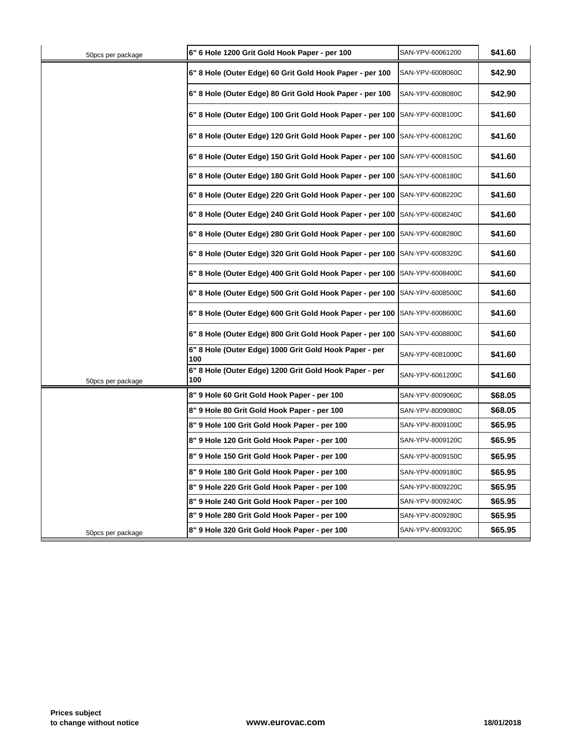| 50pcs per package | 6" 6 Hole 1200 Grit Gold Hook Paper - per 100                 | SAN-YPV-60061200 |
|-------------------|---------------------------------------------------------------|------------------|
|                   | 6" 8 Hole (Outer Edge) 60 Grit Gold Hook Paper - per 100      | SAN-YPV-6008060C |
|                   | 6" 8 Hole (Outer Edge) 80 Grit Gold Hook Paper - per 100      | SAN-YPV-6008080C |
|                   | 6" 8 Hole (Outer Edge) 100 Grit Gold Hook Paper - per 100     | SAN-YPV-6008100C |
|                   | 6" 8 Hole (Outer Edge) 120 Grit Gold Hook Paper - per 100     | SAN-YPV-6008120C |
|                   | 6" 8 Hole (Outer Edge) 150 Grit Gold Hook Paper - per 100     | SAN-YPV-6008150C |
|                   | 6" 8 Hole (Outer Edge) 180 Grit Gold Hook Paper - per 100     | SAN-YPV-6008180C |
|                   | 6" 8 Hole (Outer Edge) 220 Grit Gold Hook Paper - per 100     | SAN-YPV-6008220C |
|                   | 6" 8 Hole (Outer Edge) 240 Grit Gold Hook Paper - per 100     | SAN-YPV-6008240C |
|                   | 6" 8 Hole (Outer Edge) 280 Grit Gold Hook Paper - per 100     | SAN-YPV-6008280C |
|                   | 6" 8 Hole (Outer Edge) 320 Grit Gold Hook Paper - per 100     | SAN-YPV-6008320C |
|                   | 6" 8 Hole (Outer Edge) 400 Grit Gold Hook Paper - per 100     | SAN-YPV-6008400C |
|                   | 6" 8 Hole (Outer Edge) 500 Grit Gold Hook Paper - per 100     | SAN-YPV-6008500C |
|                   | 6" 8 Hole (Outer Edge) 600 Grit Gold Hook Paper - per 100     | SAN-YPV-6008600C |
|                   | 6" 8 Hole (Outer Edge) 800 Grit Gold Hook Paper - per 100     | SAN-YPV-6008800C |
|                   | 6" 8 Hole (Outer Edge) 1000 Grit Gold Hook Paper - per<br>100 | SAN-YPV-6081000C |
| 50pcs per package | 6" 8 Hole (Outer Edge) 1200 Grit Gold Hook Paper - per<br>100 | SAN-YPV-6061200C |
|                   | 8" 9 Hole 60 Grit Gold Hook Paper - per 100                   | SAN-YPV-8009060C |
|                   | 8" 9 Hole 80 Grit Gold Hook Paper - per 100                   | SAN-YPV-8009080C |
|                   | 8" 9 Hole 100 Grit Gold Hook Paper - per 100                  | SAN-YPV-8009100C |
|                   | 8" 9 Hole 120 Grit Gold Hook Paper - per 100                  | SAN-YPV-8009120C |
|                   | 8" 9 Hole 150 Grit Gold Hook Paper - per 100                  | SAN-YPV-8009150C |
|                   | 8" 9 Hole 180 Grit Gold Hook Paper - per 100                  | SAN-YPV-8009180C |
|                   | 8" 9 Hole 220 Grit Gold Hook Paper - per 100                  | SAN-YPV-8009220C |
|                   | 8" 9 Hole 240 Grit Gold Hook Paper - per 100                  | SAN-YPV-8009240C |
|                   | 8" 9 Hole 280 Grit Gold Hook Paper - per 100                  | SAN-YPV-8009280C |
| 50pcs per package | 8" 9 Hole 320 Grit Gold Hook Paper - per 100                  | SAN-YPV-8009320C |
|                   |                                                               |                  |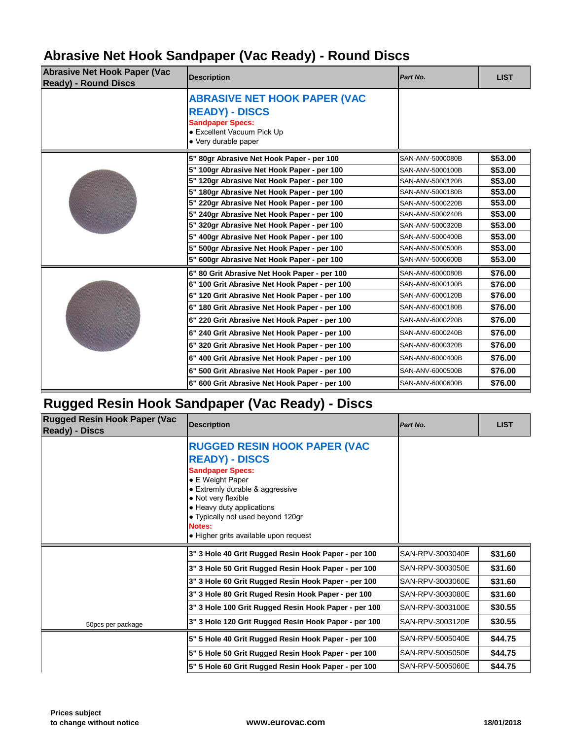### **Abrasive Net Hook Sandpaper (Vac Ready) - Round Discs**

| <b>Abrasive Net Hook Paper (Vac</b><br><b>Ready) - Round Discs</b> | <b>Description</b>                                                                                                                            | Part No.         |  |
|--------------------------------------------------------------------|-----------------------------------------------------------------------------------------------------------------------------------------------|------------------|--|
|                                                                    | <b>ABRASIVE NET HOOK PAPER (VAC</b><br><b>READY) - DISCS</b><br><b>Sandpaper Specs:</b><br>• Excellent Vacuum Pick Up<br>• Very durable paper |                  |  |
|                                                                    | 5" 80gr Abrasive Net Hook Paper - per 100                                                                                                     | SAN-ANV-5000080B |  |
|                                                                    | 5" 100gr Abrasive Net Hook Paper - per 100                                                                                                    | SAN-ANV-5000100B |  |
|                                                                    | 5" 120gr Abrasive Net Hook Paper - per 100                                                                                                    | SAN-ANV-5000120B |  |
|                                                                    | 5" 180gr Abrasive Net Hook Paper - per 100                                                                                                    | SAN-ANV-5000180B |  |
|                                                                    | 5" 220gr Abrasive Net Hook Paper - per 100                                                                                                    | SAN-ANV-5000220B |  |
|                                                                    | 5" 240gr Abrasive Net Hook Paper - per 100                                                                                                    | SAN-ANV-5000240B |  |
|                                                                    | 5" 320gr Abrasive Net Hook Paper - per 100                                                                                                    | SAN-ANV-5000320B |  |
|                                                                    | 5" 400gr Abrasive Net Hook Paper - per 100                                                                                                    | SAN-ANV-5000400B |  |
|                                                                    | 5" 500gr Abrasive Net Hook Paper - per 100                                                                                                    | SAN-ANV-5000500B |  |
|                                                                    | 5" 600gr Abrasive Net Hook Paper - per 100                                                                                                    | SAN-ANV-5000600B |  |
|                                                                    | 6" 80 Grit Abrasive Net Hook Paper - per 100                                                                                                  | SAN-ANV-6000080B |  |
|                                                                    | 6" 100 Grit Abrasive Net Hook Paper - per 100                                                                                                 | SAN-ANV-6000100B |  |
|                                                                    | 6" 120 Grit Abrasive Net Hook Paper - per 100                                                                                                 | SAN-ANV-6000120B |  |
|                                                                    | 6" 180 Grit Abrasive Net Hook Paper - per 100                                                                                                 | SAN-ANV-6000180B |  |
|                                                                    | 6" 220 Grit Abrasive Net Hook Paper - per 100                                                                                                 | SAN-ANV-6000220B |  |
|                                                                    | 6" 240 Grit Abrasive Net Hook Paper - per 100                                                                                                 | SAN-ANV-6000240B |  |
|                                                                    | 6" 320 Grit Abrasive Net Hook Paper - per 100                                                                                                 | SAN-ANV-6000320B |  |
|                                                                    | 6" 400 Grit Abrasive Net Hook Paper - per 100                                                                                                 | SAN-ANV-6000400B |  |
|                                                                    | 6" 500 Grit Abrasive Net Hook Paper - per 100                                                                                                 | SAN-ANV-6000500B |  |
|                                                                    | 6" 600 Grit Abrasive Net Hook Paper - per 100                                                                                                 | SAN-ANV-6000600B |  |
|                                                                    |                                                                                                                                               |                  |  |

## **Rugged Resin Hook Sandpaper (Vac Ready) - Discs**

| <b>Rugged Resin Hook Paper (Vac</b><br><b>Ready) - Discs</b> | <b>Description</b>                                                                                                                                                                                                                                                                         | Part No.         |  |
|--------------------------------------------------------------|--------------------------------------------------------------------------------------------------------------------------------------------------------------------------------------------------------------------------------------------------------------------------------------------|------------------|--|
|                                                              | <b>RUGGED RESIN HOOK PAPER (VAC</b><br><b>READY) - DISCS</b><br><b>Sandpaper Specs:</b><br>• E Weight Paper<br>• Extremly durable & aggressive<br>• Not very flexible<br>• Heavy duty applications<br>• Typically not used beyond 120gr<br>Notes:<br>• Higher grits available upon request |                  |  |
|                                                              | 3" 3 Hole 40 Grit Rugged Resin Hook Paper - per 100                                                                                                                                                                                                                                        | SAN-RPV-3003040E |  |
|                                                              | 3" 3 Hole 50 Grit Rugged Resin Hook Paper - per 100                                                                                                                                                                                                                                        | SAN-RPV-3003050E |  |
|                                                              | 3" 3 Hole 60 Grit Rugged Resin Hook Paper - per 100                                                                                                                                                                                                                                        | SAN-RPV-3003060E |  |
|                                                              |                                                                                                                                                                                                                                                                                            |                  |  |
|                                                              | 3" 3 Hole 80 Grit Ruged Resin Hook Paper - per 100                                                                                                                                                                                                                                         | SAN-RPV-3003080E |  |
|                                                              | 3" 3 Hole 100 Grit Rugged Resin Hook Paper - per 100                                                                                                                                                                                                                                       | SAN-RPV-3003100E |  |
| 50pcs per package                                            | 3" 3 Hole 120 Grit Rugged Resin Hook Paper - per 100                                                                                                                                                                                                                                       | SAN-RPV-3003120E |  |
|                                                              | 5" 5 Hole 40 Grit Rugged Resin Hook Paper - per 100                                                                                                                                                                                                                                        | SAN-RPV-5005040E |  |
|                                                              | 5" 5 Hole 50 Grit Rugged Resin Hook Paper - per 100                                                                                                                                                                                                                                        | SAN-RPV-5005050E |  |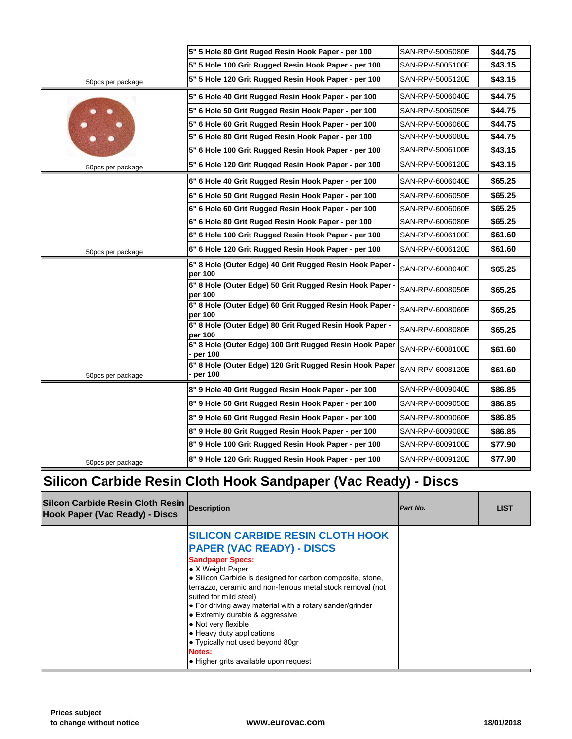|                   | 5" 5 Hole 80 Grit Ruged Resin Hook Paper - per 100                  | SAN-RPV-5005080E |
|-------------------|---------------------------------------------------------------------|------------------|
|                   | 5" 5 Hole 100 Grit Rugged Resin Hook Paper - per 100                | SAN-RPV-5005100E |
| 50pcs per package | 5" 5 Hole 120 Grit Rugged Resin Hook Paper - per 100                | SAN-RPV-5005120E |
|                   | 5" 6 Hole 40 Grit Rugged Resin Hook Paper - per 100                 | SAN-RPV-5006040E |
|                   | 5" 6 Hole 50 Grit Rugged Resin Hook Paper - per 100                 | SAN-RPV-5006050E |
|                   | 5" 6 Hole 60 Grit Rugged Resin Hook Paper - per 100                 | SAN-RPV-5006060E |
|                   | 5" 6 Hole 80 Grit Ruged Resin Hook Paper - per 100                  | SAN-RPV-5006080E |
|                   | 5" 6 Hole 100 Grit Rugged Resin Hook Paper - per 100                | SAN-RPV-5006100E |
| 50pcs per package | 5" 6 Hole 120 Grit Rugged Resin Hook Paper - per 100                | SAN-RPV-5006120E |
|                   | 6" 6 Hole 40 Grit Rugged Resin Hook Paper - per 100                 | SAN-RPV-6006040E |
|                   | 6" 6 Hole 50 Grit Rugged Resin Hook Paper - per 100                 | SAN-RPV-6006050E |
|                   | 6" 6 Hole 60 Grit Rugged Resin Hook Paper - per 100                 | SAN-RPV-6006060E |
|                   | 6" 6 Hole 80 Grit Ruged Resin Hook Paper - per 100                  | SAN-RPV-6006080E |
|                   | 6" 6 Hole 100 Grit Rugged Resin Hook Paper - per 100                | SAN-RPV-6006100E |
| 50pcs per package | 6" 6 Hole 120 Grit Rugged Resin Hook Paper - per 100                | SAN-RPV-6006120E |
|                   | 6" 8 Hole (Outer Edge) 40 Grit Rugged Resin Hook Paper -<br>per 100 | SAN-RPV-6008040E |
|                   | 6" 8 Hole (Outer Edge) 50 Grit Rugged Resin Hook Paper -<br>per 100 | SAN-RPV-6008050E |
|                   | 6" 8 Hole (Outer Edge) 60 Grit Rugged Resin Hook Paper -<br>per 100 | SAN-RPV-6008060E |
|                   | 6" 8 Hole (Outer Edge) 80 Grit Ruged Resin Hook Paper -<br>per 100  | SAN-RPV-6008080E |
|                   | 6" 8 Hole (Outer Edge) 100 Grit Rugged Resin Hook Paper<br>per 100  | SAN-RPV-6008100E |
| 50pcs per package | 6" 8 Hole (Outer Edge) 120 Grit Rugged Resin Hook Paper<br>per 100  | SAN-RPV-6008120E |
|                   | 8" 9 Hole 40 Grit Rugged Resin Hook Paper - per 100                 | SAN-RPV-8009040E |
|                   | 8" 9 Hole 50 Grit Rugged Resin Hook Paper - per 100                 | SAN-RPV-8009050E |
|                   | 8" 9 Hole 60 Grit Rugged Resin Hook Paper - per 100                 | SAN-RPV-8009060E |
|                   | 8" 9 Hole 80 Grit Rugged Resin Hook Paper - per 100                 | SAN-RPV-8009080E |
|                   | 8" 9 Hole 100 Grit Rugged Resin Hook Paper - per 100                | SAN-RPV-8009100E |
| 50pcs per package | 8" 9 Hole 120 Grit Rugged Resin Hook Paper - per 100                | SAN-RPV-8009120E |
|                   |                                                                     |                  |

## **Silicon Carbide Resin Cloth Hook Sandpaper (Vac Ready) - Discs**

| Silcon Carbide Resin Cloth Resin<br>Hook Paper (Vac Ready) - Discs | <b>Description</b>                                                                                                                                                                                                                                                                                                                                                                                                                                                                                                                        | Part No. |
|--------------------------------------------------------------------|-------------------------------------------------------------------------------------------------------------------------------------------------------------------------------------------------------------------------------------------------------------------------------------------------------------------------------------------------------------------------------------------------------------------------------------------------------------------------------------------------------------------------------------------|----------|
|                                                                    | <b>SILICON CARBIDE RESIN CLOTH HOOK</b><br><b>PAPER (VAC READY) - DISCS</b><br><b>Sandpaper Specs:</b><br>$\bullet$ X Weight Paper<br>• Silicon Carbide is designed for carbon composite, stone,<br>terrazzo, ceramic and non-ferrous metal stock removal (not<br>suited for mild steel)<br>• For driving away material with a rotary sander/grinder<br>• Extremly durable & aggressive<br>• Not very flexible<br>• Heavy duty applications<br>• Typically not used beyond 80qr<br><b>Notes:</b><br>• Higher grits available upon request |          |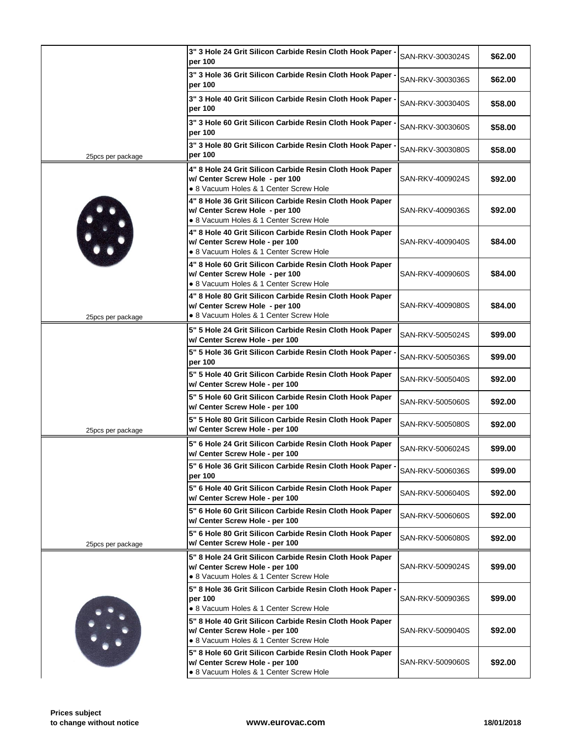|                   | 3" 3 Hole 24 Grit Silicon Carbide Resin Cloth Hook Paper -<br>per 100                                                                | SAN-RKV-3003024S |
|-------------------|--------------------------------------------------------------------------------------------------------------------------------------|------------------|
|                   | 3" 3 Hole 36 Grit Silicon Carbide Resin Cloth Hook Paper -<br>per 100                                                                | SAN-RKV-3003036S |
|                   | 3" 3 Hole 40 Grit Silicon Carbide Resin Cloth Hook Paper -<br>per 100                                                                | SAN-RKV-3003040S |
|                   | 3" 3 Hole 60 Grit Silicon Carbide Resin Cloth Hook Paper -<br>per 100                                                                | SAN-RKV-3003060S |
| 25pcs per package | 3" 3 Hole 80 Grit Silicon Carbide Resin Cloth Hook Paper -<br>per 100                                                                | SAN-RKV-3003080S |
|                   | 4" 8 Hole 24 Grit Silicon Carbide Resin Cloth Hook Paper<br>w/ Center Screw Hole - per 100<br>• 8 Vacuum Holes & 1 Center Screw Hole | SAN-RKV-4009024S |
|                   | 4" 8 Hole 36 Grit Silicon Carbide Resin Cloth Hook Paper<br>w/ Center Screw Hole - per 100<br>· 8 Vacuum Holes & 1 Center Screw Hole | SAN-RKV-4009036S |
| H.                | 4" 8 Hole 40 Grit Silicon Carbide Resin Cloth Hook Paper<br>w/ Center Screw Hole - per 100<br>• 8 Vacuum Holes & 1 Center Screw Hole | SAN-RKV-4009040S |
|                   | 4" 8 Hole 60 Grit Silicon Carbide Resin Cloth Hook Paper<br>w/ Center Screw Hole - per 100<br>• 8 Vacuum Holes & 1 Center Screw Hole | SAN-RKV-4009060S |
| 25pcs per package | 4" 8 Hole 80 Grit Silicon Carbide Resin Cloth Hook Paper<br>w/ Center Screw Hole - per 100<br>· 8 Vacuum Holes & 1 Center Screw Hole | SAN-RKV-4009080S |
|                   | 5" 5 Hole 24 Grit Silicon Carbide Resin Cloth Hook Paper<br>w/ Center Screw Hole - per 100                                           | SAN-RKV-5005024S |
|                   | 5" 5 Hole 36 Grit Silicon Carbide Resin Cloth Hook Paper -<br>per 100                                                                | SAN-RKV-5005036S |
|                   | 5" 5 Hole 40 Grit Silicon Carbide Resin Cloth Hook Paper<br>w/ Center Screw Hole - per 100                                           | SAN-RKV-5005040S |
|                   | 5" 5 Hole 60 Grit Silicon Carbide Resin Cloth Hook Paper<br>w/ Center Screw Hole - per 100                                           | SAN-RKV-5005060S |
| 25pcs per package | 5" 5 Hole 80 Grit Silicon Carbide Resin Cloth Hook Paper<br>w/ Center Screw Hole - per 100                                           | SAN-RKV-5005080S |
|                   | 5" 6 Hole 24 Grit Silicon Carbide Resin Cloth Hook Paper<br>w/ Center Screw Hole - per 100                                           | SAN-RKV-5006024S |
|                   | 5" 6 Hole 36 Grit Silicon Carbide Resin Cloth Hook Paper .<br>per 100                                                                | SAN-RKV-5006036S |
|                   | 5" 6 Hole 40 Grit Silicon Carbide Resin Cloth Hook Paper<br>w/ Center Screw Hole - per 100                                           | SAN-RKV-5006040S |
|                   | 5" 6 Hole 60 Grit Silicon Carbide Resin Cloth Hook Paper<br>w/ Center Screw Hole - per 100                                           | SAN-RKV-5006060S |
| 25pcs per package | 5" 6 Hole 80 Grit Silicon Carbide Resin Cloth Hook Paper<br>w/ Center Screw Hole - per 100                                           | SAN-RKV-5006080S |
|                   | 5" 8 Hole 24 Grit Silicon Carbide Resin Cloth Hook Paper<br>w/ Center Screw Hole - per 100<br>• 8 Vacuum Holes & 1 Center Screw Hole | SAN-RKV-5009024S |
|                   | 5" 8 Hole 36 Grit Silicon Carbide Resin Cloth Hook Paper -<br>per 100<br>• 8 Vacuum Holes & 1 Center Screw Hole                      | SAN-RKV-5009036S |
|                   | 5" 8 Hole 40 Grit Silicon Carbide Resin Cloth Hook Paper<br>w/ Center Screw Hole - per 100<br>· 8 Vacuum Holes & 1 Center Screw Hole | SAN-RKV-5009040S |
|                   | 5" 8 Hole 60 Grit Silicon Carbide Resin Cloth Hook Paper<br>w/ Center Screw Hole - per 100<br>• 8 Vacuum Holes & 1 Center Screw Hole | SAN-RKV-5009060S |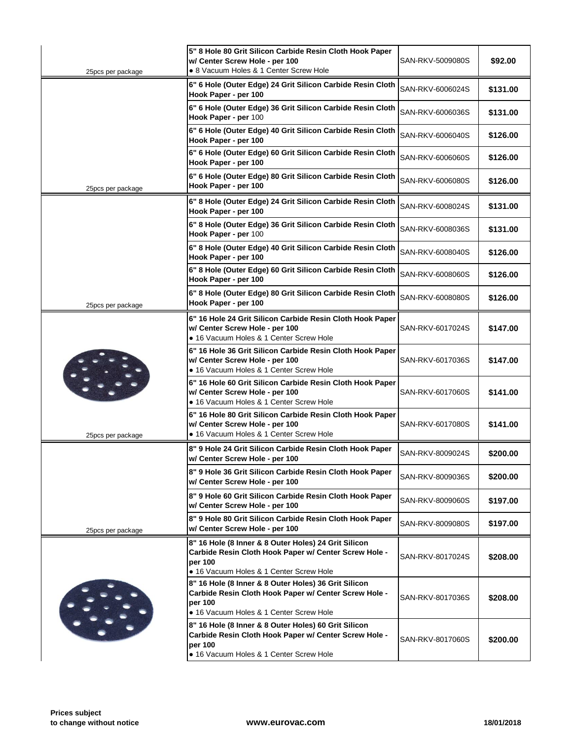| 25pcs per package | 5" 8 Hole 80 Grit Silicon Carbide Resin Cloth Hook Paper<br>w/ Center Screw Hole - per 100<br>• 8 Vacuum Holes & 1 Center Screw Hole                                | SAN-RKV-5009080S |
|-------------------|---------------------------------------------------------------------------------------------------------------------------------------------------------------------|------------------|
|                   | 6" 6 Hole (Outer Edge) 24 Grit Silicon Carbide Resin Cloth<br>Hook Paper - per 100                                                                                  | SAN-RKV-6006024S |
|                   | 6" 6 Hole (Outer Edge) 36 Grit Silicon Carbide Resin Cloth<br>Hook Paper - per 100                                                                                  | SAN-RKV-6006036S |
|                   | 6" 6 Hole (Outer Edge) 40 Grit Silicon Carbide Resin Cloth<br>Hook Paper - per 100                                                                                  | SAN-RKV-6006040S |
|                   | 6" 6 Hole (Outer Edge) 60 Grit Silicon Carbide Resin Cloth<br>Hook Paper - per 100                                                                                  | SAN-RKV-6006060S |
| 25pcs per package | 6" 6 Hole (Outer Edge) 80 Grit Silicon Carbide Resin Cloth<br>Hook Paper - per 100                                                                                  | SAN-RKV-6006080S |
|                   | 6" 8 Hole (Outer Edge) 24 Grit Silicon Carbide Resin Cloth<br>Hook Paper - per 100                                                                                  | SAN-RKV-6008024S |
|                   | 6" 8 Hole (Outer Edge) 36 Grit Silicon Carbide Resin Cloth<br>Hook Paper - per 100                                                                                  | SAN-RKV-6008036S |
|                   | 6" 8 Hole (Outer Edge) 40 Grit Silicon Carbide Resin Cloth<br>Hook Paper - per 100                                                                                  | SAN-RKV-6008040S |
|                   | 6" 8 Hole (Outer Edge) 60 Grit Silicon Carbide Resin Cloth<br>Hook Paper - per 100                                                                                  | SAN-RKV-6008060S |
| 25pcs per package | 6" 8 Hole (Outer Edge) 80 Grit Silicon Carbide Resin Cloth<br>Hook Paper - per 100                                                                                  | SAN-RKV-6008080S |
|                   | 6" 16 Hole 24 Grit Silicon Carbide Resin Cloth Hook Paper<br>w/ Center Screw Hole - per 100<br>• 16 Vacuum Holes & 1 Center Screw Hole                              | SAN-RKV-6017024S |
|                   | 6" 16 Hole 36 Grit Silicon Carbide Resin Cloth Hook Paper<br>w/ Center Screw Hole - per 100<br>• 16 Vacuum Holes & 1 Center Screw Hole                              | SAN-RKV-6017036S |
|                   | 6" 16 Hole 60 Grit Silicon Carbide Resin Cloth Hook Paper<br>w/ Center Screw Hole - per 100<br>• 16 Vacuum Holes & 1 Center Screw Hole                              | SAN-RKV-6017060S |
| 25pcs per package | 6" 16 Hole 80 Grit Silicon Carbide Resin Cloth Hook Paper<br>w/ Center Screw Hole - per 100<br>• 16 Vacuum Holes & 1 Center Screw Hole                              | SAN-RKV-6017080S |
|                   | 8" 9 Hole 24 Grit Silicon Carbide Resin Cloth Hook Paper<br>w/ Center Screw Hole - per 100                                                                          | SAN-RKV-8009024S |
|                   | 8" 9 Hole 36 Grit Silicon Carbide Resin Cloth Hook Paper<br>w/ Center Screw Hole - per 100                                                                          | SAN-RKV-8009036S |
|                   | 8" 9 Hole 60 Grit Silicon Carbide Resin Cloth Hook Paper<br>w/ Center Screw Hole - per 100                                                                          | SAN-RKV-8009060S |
| 25pcs per package | 8" 9 Hole 80 Grit Silicon Carbide Resin Cloth Hook Paper<br>w/ Center Screw Hole - per 100                                                                          | SAN-RKV-8009080S |
|                   | 8" 16 Hole (8 Inner & 8 Outer Holes) 24 Grit Silicon<br>Carbide Resin Cloth Hook Paper w/ Center Screw Hole -<br>per 100<br>· 16 Vacuum Holes & 1 Center Screw Hole | SAN-RKV-8017024S |
|                   | 8" 16 Hole (8 Inner & 8 Outer Holes) 36 Grit Silicon<br>Carbide Resin Cloth Hook Paper w/ Center Screw Hole -<br>per 100<br>• 16 Vacuum Holes & 1 Center Screw Hole | SAN-RKV-8017036S |
|                   | 8" 16 Hole (8 Inner & 8 Outer Holes) 60 Grit Silicon<br>Carbide Resin Cloth Hook Paper w/ Center Screw Hole -<br>per 100<br>• 16 Vacuum Holes & 1 Center Screw Hole | SAN-RKV-8017060S |
|                   |                                                                                                                                                                     |                  |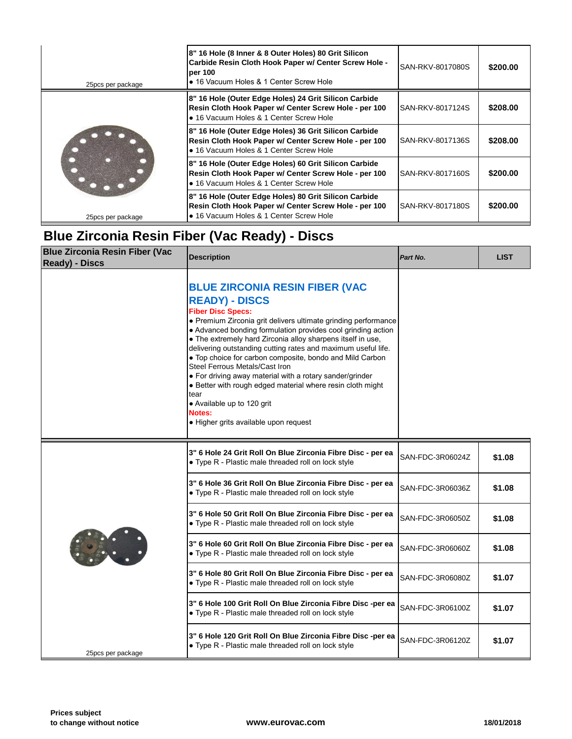| 25pcs per package  | 8" 16 Hole (8 Inner & 8 Outer Holes) 80 Grit Silicon<br>Carbide Resin Cloth Hook Paper w/ Center Screw Hole -<br>per 100<br>• 16 Vacuum Holes & 1 Center Screw Hole | SAN-RKV-8017080S |  |
|--------------------|---------------------------------------------------------------------------------------------------------------------------------------------------------------------|------------------|--|
| 25 pcs per package | 8" 16 Hole (Outer Edge Holes) 24 Grit Silicon Carbide<br>Resin Cloth Hook Paper w/ Center Screw Hole - per 100<br>• 16 Vacuum Holes & 1 Center Screw Hole           | SAN-RKV-8017124S |  |
|                    | 8" 16 Hole (Outer Edge Holes) 36 Grit Silicon Carbide<br>Resin Cloth Hook Paper w/ Center Screw Hole - per 100<br>• 16 Vacuum Holes & 1 Center Screw Hole           | SAN-RKV-8017136S |  |
|                    | 8" 16 Hole (Outer Edge Holes) 60 Grit Silicon Carbide<br>Resin Cloth Hook Paper w/ Center Screw Hole - per 100<br>• 16 Vacuum Holes & 1 Center Screw Hole           | SAN-RKV-8017160S |  |
|                    | 8" 16 Hole (Outer Edge Holes) 80 Grit Silicon Carbide<br>Resin Cloth Hook Paper w/ Center Screw Hole - per 100<br>• 16 Vacuum Holes & 1 Center Screw Hole           | SAN-RKV-8017180S |  |

# **Blue Zirconia Resin Fiber (Vac Ready) - Discs**

| <b>Blue Zirconia Resin Fiber (Vac</b><br><b>Ready) - Discs</b> | <b>Description</b>                                                                                                                                                                                                                                                                                                                                                                                                                                                                                                                                                                                                                                                            | Part No.         |  |
|----------------------------------------------------------------|-------------------------------------------------------------------------------------------------------------------------------------------------------------------------------------------------------------------------------------------------------------------------------------------------------------------------------------------------------------------------------------------------------------------------------------------------------------------------------------------------------------------------------------------------------------------------------------------------------------------------------------------------------------------------------|------------------|--|
|                                                                | <b>BLUE ZIRCONIA RESIN FIBER (VAC</b><br><b>READY) - DISCS</b><br><b>Fiber Disc Specs:</b><br>• Premium Zirconia grit delivers ultimate grinding performance<br>• Advanced bonding formulation provides cool grinding action<br>• The extremely hard Zirconia alloy sharpens itself in use,<br>delivering outstanding cutting rates and maximum useful life.<br>• Top choice for carbon composite, bondo and Mild Carbon<br>Steel Ferrous Metals/Cast Iron<br>• For driving away material with a rotary sander/grinder<br>• Better with rough edged material where resin cloth might<br>tear<br>• Available up to 120 grit<br>Notes:<br>· Higher grits available upon request |                  |  |
|                                                                | 3" 6 Hole 24 Grit Roll On Blue Zirconia Fibre Disc - per ea<br>• Type R - Plastic male threaded roll on lock style                                                                                                                                                                                                                                                                                                                                                                                                                                                                                                                                                            | SAN-FDC-3R06024Z |  |
|                                                                | 3" 6 Hole 36 Grit Roll On Blue Zirconia Fibre Disc - per ea<br>• Type R - Plastic male threaded roll on lock style                                                                                                                                                                                                                                                                                                                                                                                                                                                                                                                                                            | SAN-FDC-3R06036Z |  |
|                                                                | 3" 6 Hole 50 Grit Roll On Blue Zirconia Fibre Disc - per ea<br>• Type R - Plastic male threaded roll on lock style                                                                                                                                                                                                                                                                                                                                                                                                                                                                                                                                                            | SAN-FDC-3R06050Z |  |
|                                                                | 3" 6 Hole 60 Grit Roll On Blue Zirconia Fibre Disc - per ea<br>• Type R - Plastic male threaded roll on lock style                                                                                                                                                                                                                                                                                                                                                                                                                                                                                                                                                            | SAN-FDC-3R06060Z |  |
|                                                                | 3" 6 Hole 80 Grit Roll On Blue Zirconia Fibre Disc - per ea<br>• Type R - Plastic male threaded roll on lock style                                                                                                                                                                                                                                                                                                                                                                                                                                                                                                                                                            | SAN-FDC-3R06080Z |  |
|                                                                | 3" 6 Hole 100 Grit Roll On Blue Zirconia Fibre Disc -per ea<br>• Type R - Plastic male threaded roll on lock style                                                                                                                                                                                                                                                                                                                                                                                                                                                                                                                                                            | SAN-FDC-3R06100Z |  |
| 25pcs per package                                              | 3" 6 Hole 120 Grit Roll On Blue Zirconia Fibre Disc -per ea<br>• Type R - Plastic male threaded roll on lock style                                                                                                                                                                                                                                                                                                                                                                                                                                                                                                                                                            | SAN-FDC-3R06120Z |  |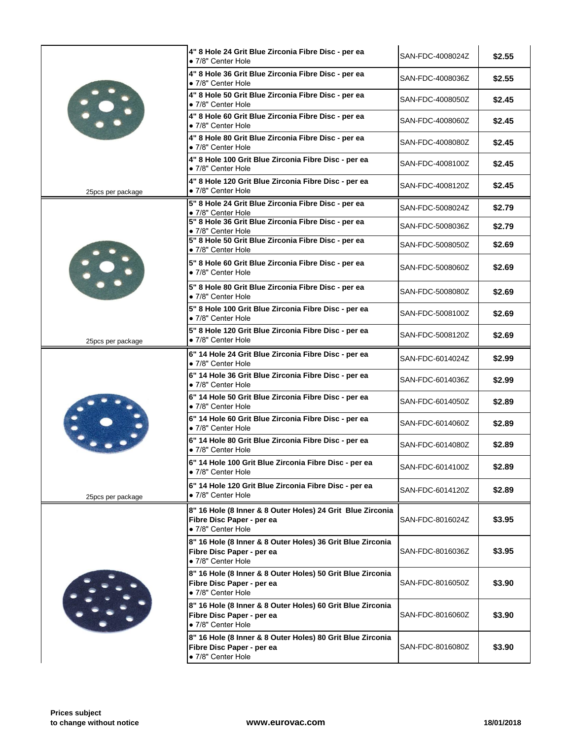|                   | 4" 8 Hole 24 Grit Blue Zirconia Fibre Disc - per ea<br>• 7/8" Center Hole                                     | SAN-FDC-4008024Z |
|-------------------|---------------------------------------------------------------------------------------------------------------|------------------|
|                   | 4" 8 Hole 36 Grit Blue Zirconia Fibre Disc - per ea<br>· 7/8" Center Hole                                     | SAN-FDC-4008036Z |
| $\mathbf{C}$      | 4" 8 Hole 50 Grit Blue Zirconia Fibre Disc - per ea<br>• 7/8" Center Hole                                     | SAN-FDC-4008050Z |
|                   | 4" 8 Hole 60 Grit Blue Zirconia Fibre Disc - per ea<br>· 7/8" Center Hole                                     | SAN-FDC-4008060Z |
|                   | 4" 8 Hole 80 Grit Blue Zirconia Fibre Disc - per ea<br>• 7/8" Center Hole                                     | SAN-FDC-4008080Z |
|                   | 4" 8 Hole 100 Grit Blue Zirconia Fibre Disc - per ea<br>• 7/8" Center Hole                                    | SAN-FDC-4008100Z |
| 25pcs per package | 4" 8 Hole 120 Grit Blue Zirconia Fibre Disc - per ea<br>• 7/8" Center Hole                                    | SAN-FDC-4008120Z |
|                   | 5" 8 Hole 24 Grit Blue Zirconia Fibre Disc - per ea<br>• 7/8" Center Hole                                     | SAN-FDC-5008024Z |
|                   | 5" 8 Hole 36 Grit Blue Zirconia Fibre Disc - per ea<br>• 7/8" Center Hole                                     | SAN-FDC-5008036Z |
|                   | 5" 8 Hole 50 Grit Blue Zirconia Fibre Disc - per ea<br>· 7/8" Center Hole                                     | SAN-FDC-5008050Z |
|                   | 5" 8 Hole 60 Grit Blue Zirconia Fibre Disc - per ea<br>• 7/8" Center Hole                                     | SAN-FDC-5008060Z |
|                   | 5" 8 Hole 80 Grit Blue Zirconia Fibre Disc - per ea<br>• 7/8" Center Hole                                     | SAN-FDC-5008080Z |
|                   | 5" 8 Hole 100 Grit Blue Zirconia Fibre Disc - per ea<br>• 7/8" Center Hole                                    | SAN-FDC-5008100Z |
| 25pcs per package | 5" 8 Hole 120 Grit Blue Zirconia Fibre Disc - per ea<br>• 7/8" Center Hole                                    | SAN-FDC-5008120Z |
|                   | 6" 14 Hole 24 Grit Blue Zirconia Fibre Disc - per ea<br>• 7/8" Center Hole                                    | SAN-FDC-6014024Z |
|                   | 6" 14 Hole 36 Grit Blue Zirconia Fibre Disc - per ea<br>• 7/8" Center Hole                                    | SAN-FDC-6014036Z |
|                   | 6" 14 Hole 50 Grit Blue Zirconia Fibre Disc - per ea<br>• 7/8" Center Hole                                    | SAN-FDC-6014050Z |
|                   | 6" 14 Hole 60 Grit Blue Zirconia Fibre Disc - per ea<br>• 7/8" Center Hole                                    | SAN-FDC-6014060Z |
|                   | 6" 14 Hole 80 Grit Blue Zirconia Fibre Disc - per ea<br>• 7/8" Center Hole                                    | SAN-FDC-6014080Z |
|                   | 6" 14 Hole 100 Grit Blue Zirconia Fibre Disc - per ea<br>• 7/8" Center Hole                                   | SAN-FDC-6014100Z |
| 25pcs per package | 6" 14 Hole 120 Grit Blue Zirconia Fibre Disc - per ea<br>• 7/8" Center Hole                                   | SAN-FDC-6014120Z |
|                   | 8" 16 Hole (8 Inner & 8 Outer Holes) 24 Grit Blue Zirconia<br>Fibre Disc Paper - per ea<br>· 7/8" Center Hole | SAN-FDC-8016024Z |
|                   | 8" 16 Hole (8 Inner & 8 Outer Holes) 36 Grit Blue Zirconia<br>Fibre Disc Paper - per ea<br>· 7/8" Center Hole | SAN-FDC-8016036Z |
|                   | 8" 16 Hole (8 Inner & 8 Outer Holes) 50 Grit Blue Zirconia<br>Fibre Disc Paper - per ea<br>· 7/8" Center Hole | SAN-FDC-8016050Z |
|                   | 8" 16 Hole (8 Inner & 8 Outer Holes) 60 Grit Blue Zirconia<br>Fibre Disc Paper - per ea<br>• 7/8" Center Hole | SAN-FDC-8016060Z |
|                   | 8" 16 Hole (8 Inner & 8 Outer Holes) 80 Grit Blue Zirconia<br>Fibre Disc Paper - per ea<br>· 7/8" Center Hole | SAN-FDC-8016080Z |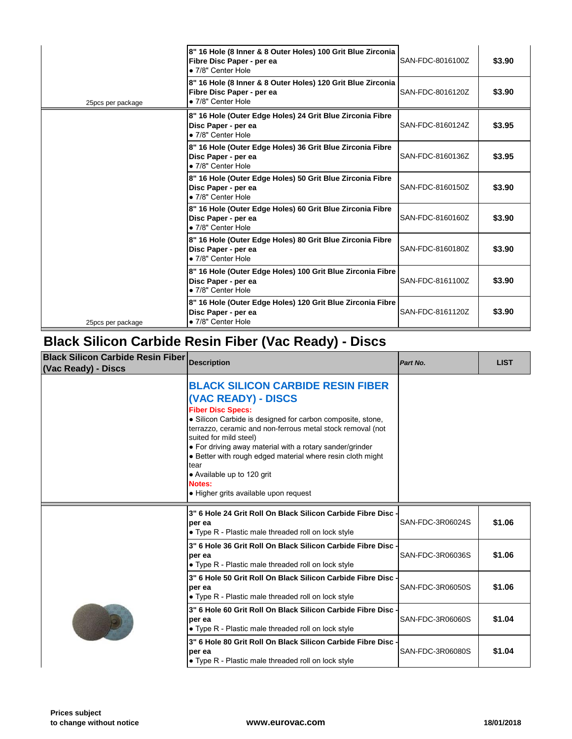|                   | 8" 16 Hole (8 Inner & 8 Outer Holes) 100 Grit Blue Zirconia<br>Fibre Disc Paper - per ea<br>• 7/8" Center Hole | SAN-FDC-8016100Z |
|-------------------|----------------------------------------------------------------------------------------------------------------|------------------|
| 25pcs per package | 8" 16 Hole (8 Inner & 8 Outer Holes) 120 Grit Blue Zirconia<br>Fibre Disc Paper - per ea<br>• 7/8" Center Hole | SAN-FDC-8016120Z |
|                   | 8" 16 Hole (Outer Edge Holes) 24 Grit Blue Zirconia Fibre<br>Disc Paper - per ea<br>• 7/8" Center Hole         | SAN-FDC-8160124Z |
|                   | 8" 16 Hole (Outer Edge Holes) 36 Grit Blue Zirconia Fibre<br>Disc Paper - per ea<br>· 7/8" Center Hole         | SAN-FDC-8160136Z |
|                   | 8" 16 Hole (Outer Edge Holes) 50 Grit Blue Zirconia Fibre<br>Disc Paper - per ea<br>· 7/8" Center Hole         | SAN-FDC-8160150Z |
|                   | 8" 16 Hole (Outer Edge Holes) 60 Grit Blue Zirconia Fibre<br>Disc Paper - per ea<br>• 7/8" Center Hole         | SAN-FDC-8160160Z |
|                   | 8" 16 Hole (Outer Edge Holes) 80 Grit Blue Zirconia Fibre<br>Disc Paper - per ea<br>• 7/8" Center Hole         | SAN-FDC-8160180Z |
|                   | 8" 16 Hole (Outer Edge Holes) 100 Grit Blue Zirconia Fibre<br>Disc Paper - per ea<br>• 7/8" Center Hole        | SAN-FDC-8161100Z |
| 25pcs per package | 8" 16 Hole (Outer Edge Holes) 120 Grit Blue Zirconia Fibre<br>Disc Paper - per ea<br>• 7/8" Center Hole        | SAN-FDC-8161120Z |

## **Black Silicon Carbide Resin Fiber (Vac Ready) - Discs**

| <b>Black Silicon Carbide Resin Fiber</b><br>(Vac Ready) - Discs | <b>Description</b>                                                                                                                                                                                                                                                                                                                                                                                                                                                   | Part No.         |
|-----------------------------------------------------------------|----------------------------------------------------------------------------------------------------------------------------------------------------------------------------------------------------------------------------------------------------------------------------------------------------------------------------------------------------------------------------------------------------------------------------------------------------------------------|------------------|
|                                                                 | <b>BLACK SILICON CARBIDE RESIN FIBER</b><br>(VAC READY) - DISCS<br><b>Fiber Disc Specs:</b><br>· Silicon Carbide is designed for carbon composite, stone,<br>terrazzo, ceramic and non-ferrous metal stock removal (not<br>suited for mild steel)<br>• For driving away material with a rotary sander/grinder<br>• Better with rough edged material where resin cloth might<br>tear<br>• Available up to 120 grit<br>Notes:<br>• Higher grits available upon request |                  |
|                                                                 | 3" 6 Hole 24 Grit Roll On Black Silicon Carbide Fibre Disc .<br>per ea<br>• Type R - Plastic male threaded roll on lock style                                                                                                                                                                                                                                                                                                                                        | SAN-FDC-3R06024S |
|                                                                 | 3" 6 Hole 36 Grit Roll On Black Silicon Carbide Fibre Disc .<br>per ea<br>• Type R - Plastic male threaded roll on lock style                                                                                                                                                                                                                                                                                                                                        | SAN-FDC-3R06036S |
|                                                                 | 3" 6 Hole 50 Grit Roll On Black Silicon Carbide Fibre Disc<br>per ea<br>• Type R - Plastic male threaded roll on lock style                                                                                                                                                                                                                                                                                                                                          | SAN-FDC-3R06050S |
|                                                                 | 3" 6 Hole 60 Grit Roll On Black Silicon Carbide Fibre Disc -<br>per ea<br>• Type R - Plastic male threaded roll on lock style                                                                                                                                                                                                                                                                                                                                        | SAN-FDC-3R06060S |
|                                                                 | 3" 6 Hole 80 Grit Roll On Black Silicon Carbide Fibre Disc -<br>per ea                                                                                                                                                                                                                                                                                                                                                                                               | SAN-FDC-3R06080S |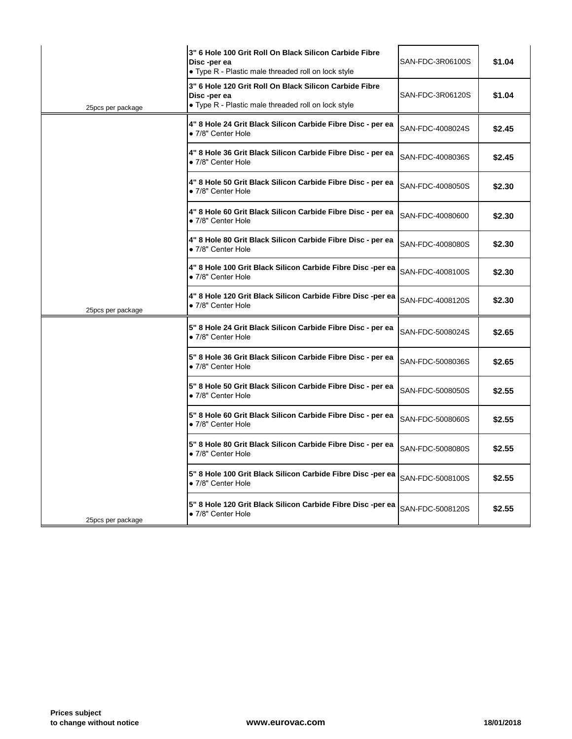|                   | 3" 6 Hole 100 Grit Roll On Black Silicon Carbide Fibre<br>Disc-per ea<br>• Type R - Plastic male threaded roll on lock style | SAN-FDC-3R06100S |
|-------------------|------------------------------------------------------------------------------------------------------------------------------|------------------|
| 25pcs per package | 3" 6 Hole 120 Grit Roll On Black Silicon Carbide Fibre<br>Disc-per ea<br>• Type R - Plastic male threaded roll on lock style | SAN-FDC-3R06120S |
|                   | 4" 8 Hole 24 Grit Black Silicon Carbide Fibre Disc - per ea<br>• 7/8" Center Hole                                            | SAN-FDC-4008024S |
|                   | 4" 8 Hole 36 Grit Black Silicon Carbide Fibre Disc - per ea<br>• 7/8" Center Hole                                            | SAN-FDC-4008036S |
|                   | 4" 8 Hole 50 Grit Black Silicon Carbide Fibre Disc - per ea<br>• 7/8" Center Hole                                            | SAN-FDC-4008050S |
|                   | 4" 8 Hole 60 Grit Black Silicon Carbide Fibre Disc - per ea<br>• 7/8" Center Hole                                            | SAN-FDC-40080600 |
|                   | 4" 8 Hole 80 Grit Black Silicon Carbide Fibre Disc - per ea<br>• 7/8" Center Hole                                            | SAN-FDC-4008080S |
|                   | 4" 8 Hole 100 Grit Black Silicon Carbide Fibre Disc-per ea<br>· 7/8" Center Hole                                             | SAN-FDC-4008100S |
| 25pcs per package | 4" 8 Hole 120 Grit Black Silicon Carbide Fibre Disc-per ea<br>· 7/8" Center Hole                                             | SAN-FDC-4008120S |
|                   | 5" 8 Hole 24 Grit Black Silicon Carbide Fibre Disc - per ea<br>• 7/8" Center Hole                                            | SAN-FDC-5008024S |
|                   | 5" 8 Hole 36 Grit Black Silicon Carbide Fibre Disc - per ea<br>• 7/8" Center Hole                                            | SAN-FDC-5008036S |
|                   | 5" 8 Hole 50 Grit Black Silicon Carbide Fibre Disc - per ea<br>· 7/8" Center Hole                                            | SAN-FDC-5008050S |
|                   | 5" 8 Hole 60 Grit Black Silicon Carbide Fibre Disc - per ea<br>• 7/8" Center Hole                                            | SAN-FDC-5008060S |
|                   | 5" 8 Hole 80 Grit Black Silicon Carbide Fibre Disc - per ea<br>• 7/8" Center Hole                                            | SAN-FDC-5008080S |
|                   | 5" 8 Hole 100 Grit Black Silicon Carbide Fibre Disc-per ea<br>• 7/8" Center Hole                                             | SAN-FDC-5008100S |
| 25pcs per package | 5" 8 Hole 120 Grit Black Silicon Carbide Fibre Disc-per ea<br>• 7/8" Center Hole                                             | SAN-FDC-5008120S |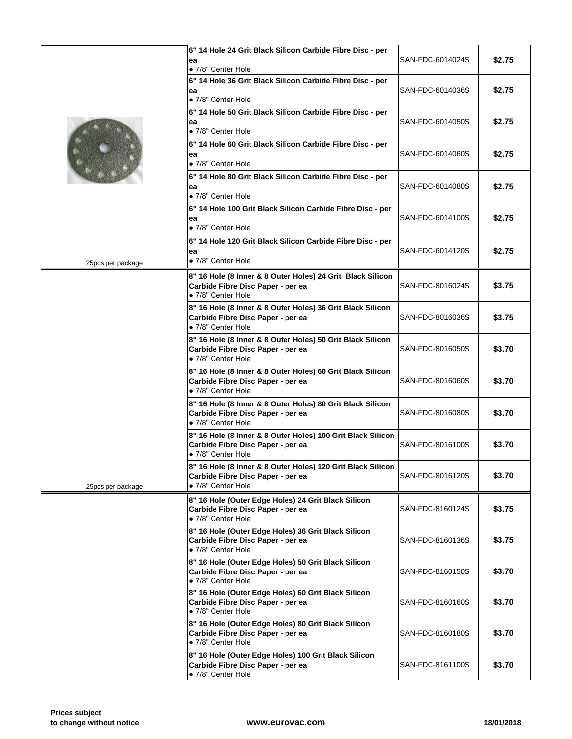|                   | 6" 14 Hole 24 Grit Black Silicon Carbide Fibre Disc - per<br>ea<br>· 7/8" Center Hole                                  | SAN-FDC-6014024S |
|-------------------|------------------------------------------------------------------------------------------------------------------------|------------------|
|                   | 6" 14 Hole 36 Grit Black Silicon Carbide Fibre Disc - per<br>ea<br>• 7/8" Center Hole                                  | SAN-FDC-6014036S |
|                   | 6" 14 Hole 50 Grit Black Silicon Carbide Fibre Disc - per<br>ea<br>• 7/8" Center Hole                                  | SAN-FDC-6014050S |
|                   | 6" 14 Hole 60 Grit Black Silicon Carbide Fibre Disc - per<br>ea<br>• 7/8" Center Hole                                  | SAN-FDC-6014060S |
|                   | 6" 14 Hole 80 Grit Black Silicon Carbide Fibre Disc - per<br>ea<br>• 7/8" Center Hole                                  | SAN-FDC-6014080S |
|                   | 6" 14 Hole 100 Grit Black Silicon Carbide Fibre Disc - per<br>ea<br>· 7/8" Center Hole                                 | SAN-FDC-6014100S |
|                   | 6" 14 Hole 120 Grit Black Silicon Carbide Fibre Disc - per<br>ea                                                       | SAN-FDC-6014120S |
| 25pcs per package | • 7/8" Center Hole                                                                                                     |                  |
|                   | 8" 16 Hole (8 Inner & 8 Outer Holes) 24 Grit Black Silicon<br>Carbide Fibre Disc Paper - per ea<br>• 7/8" Center Hole  | SAN-FDC-8016024S |
|                   | 8" 16 Hole (8 Inner & 8 Outer Holes) 36 Grit Black Silicon<br>Carbide Fibre Disc Paper - per ea<br>· 7/8" Center Hole  | SAN-FDC-8016036S |
|                   | 8" 16 Hole (8 Inner & 8 Outer Holes) 50 Grit Black Silicon<br>Carbide Fibre Disc Paper - per ea<br>• 7/8" Center Hole  | SAN-FDC-8016050S |
|                   | 8" 16 Hole (8 Inner & 8 Outer Holes) 60 Grit Black Silicon<br>Carbide Fibre Disc Paper - per ea<br>• 7/8" Center Hole  | SAN-FDC-8016060S |
|                   | 8" 16 Hole (8 Inner & 8 Outer Holes) 80 Grit Black Silicon<br>Carbide Fibre Disc Paper - per ea<br>• 7/8" Center Hole  | SAN-FDC-8016080S |
|                   | 8" 16 Hole (8 Inner & 8 Outer Holes) 100 Grit Black Silicon<br>Carbide Fibre Disc Paper - per ea<br>· 7/8" Center Hole | SAN-FDC-8016100S |
| 25pcs per package | 8" 16 Hole (8 Inner & 8 Outer Holes) 120 Grit Black Silicon<br>Carbide Fibre Disc Paper - per ea<br>• 7/8" Center Hole | SAN-FDC-8016120S |
|                   | 8" 16 Hole (Outer Edge Holes) 24 Grit Black Silicon<br>Carbide Fibre Disc Paper - per ea<br>• 7/8" Center Hole         | SAN-FDC-8160124S |
|                   | 8" 16 Hole (Outer Edge Holes) 36 Grit Black Silicon<br>Carbide Fibre Disc Paper - per ea<br>· 7/8" Center Hole         | SAN-FDC-8160136S |
|                   | 8" 16 Hole (Outer Edge Holes) 50 Grit Black Silicon<br>Carbide Fibre Disc Paper - per ea<br>• 7/8" Center Hole         | SAN-FDC-8160150S |
|                   | 8" 16 Hole (Outer Edge Holes) 60 Grit Black Silicon<br>Carbide Fibre Disc Paper - per ea<br>· 7/8" Center Hole         | SAN-FDC-8160160S |
|                   | 8" 16 Hole (Outer Edge Holes) 80 Grit Black Silicon<br>Carbide Fibre Disc Paper - per ea<br>• 7/8" Center Hole         | SAN-FDC-8160180S |
|                   | 8" 16 Hole (Outer Edge Holes) 100 Grit Black Silicon<br>Carbide Fibre Disc Paper - per ea<br>• 7/8" Center Hole        | SAN-FDC-8161100S |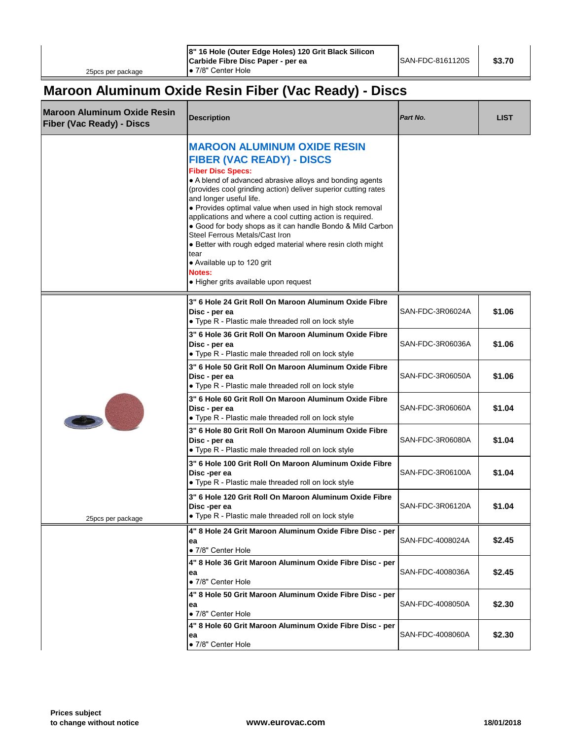#### **Maroon Aluminum Oxide Resin Fiber (Vac Ready) - Discs**

| <b>Maroon Aluminum Oxide Resin</b><br><b>Fiber (Vac Ready) - Discs</b> | <b>Description</b>                                                                                                                                                                                                                                                                                                                                                                                                                                                                                                                                                                                                                          | Part No.         |  |
|------------------------------------------------------------------------|---------------------------------------------------------------------------------------------------------------------------------------------------------------------------------------------------------------------------------------------------------------------------------------------------------------------------------------------------------------------------------------------------------------------------------------------------------------------------------------------------------------------------------------------------------------------------------------------------------------------------------------------|------------------|--|
|                                                                        | <b>MAROON ALUMINUM OXIDE RESIN</b><br><b>FIBER (VAC READY) - DISCS</b><br><b>Fiber Disc Specs:</b><br>• A blend of advanced abrasive alloys and bonding agents<br>(provides cool grinding action) deliver superior cutting rates<br>and longer useful life.<br>• Provides optimal value when used in high stock removal<br>applications and where a cool cutting action is required.<br>• Good for body shops as it can handle Bondo & Mild Carbon<br>Steel Ferrous Metals/Cast Iron<br>• Better with rough edged material where resin cloth might<br>tear<br>• Available up to 120 grit<br>Notes:<br>• Higher grits available upon request |                  |  |
|                                                                        | 3" 6 Hole 24 Grit Roll On Maroon Aluminum Oxide Fibre<br>Disc - per ea<br>• Type R - Plastic male threaded roll on lock style                                                                                                                                                                                                                                                                                                                                                                                                                                                                                                               | SAN-FDC-3R06024A |  |
|                                                                        | 3" 6 Hole 36 Grit Roll On Maroon Aluminum Oxide Fibre<br>Disc - per ea<br>• Type R - Plastic male threaded roll on lock style                                                                                                                                                                                                                                                                                                                                                                                                                                                                                                               | SAN-FDC-3R06036A |  |
|                                                                        | 3" 6 Hole 50 Grit Roll On Maroon Aluminum Oxide Fibre<br>Disc - per ea<br>• Type R - Plastic male threaded roll on lock style                                                                                                                                                                                                                                                                                                                                                                                                                                                                                                               | SAN-FDC-3R06050A |  |
|                                                                        | 3" 6 Hole 60 Grit Roll On Maroon Aluminum Oxide Fibre<br>Disc - per ea<br>• Type R - Plastic male threaded roll on lock style                                                                                                                                                                                                                                                                                                                                                                                                                                                                                                               | SAN-FDC-3R06060A |  |
|                                                                        | 3" 6 Hole 80 Grit Roll On Maroon Aluminum Oxide Fibre<br>Disc - per ea<br>• Type R - Plastic male threaded roll on lock style                                                                                                                                                                                                                                                                                                                                                                                                                                                                                                               | SAN-FDC-3R06080A |  |
|                                                                        | 3" 6 Hole 100 Grit Roll On Maroon Aluminum Oxide Fibre<br>Disc-per ea<br>• Type R - Plastic male threaded roll on lock style                                                                                                                                                                                                                                                                                                                                                                                                                                                                                                                | SAN-FDC-3R06100A |  |
| 25pcs per package                                                      | 3" 6 Hole 120 Grit Roll On Maroon Aluminum Oxide Fibre<br>Disc-per ea<br>• Type R - Plastic male threaded roll on lock style                                                                                                                                                                                                                                                                                                                                                                                                                                                                                                                | SAN-FDC-3R06120A |  |
|                                                                        | 4" 8 Hole 24 Grit Maroon Aluminum Oxide Fibre Disc - per<br>ea<br>• 7/8" Center Hole                                                                                                                                                                                                                                                                                                                                                                                                                                                                                                                                                        | SAN-FDC-4008024A |  |
|                                                                        | 4" 8 Hole 36 Grit Maroon Aluminum Oxide Fibre Disc - per<br>ea<br>• 7/8" Center Hole                                                                                                                                                                                                                                                                                                                                                                                                                                                                                                                                                        | SAN-FDC-4008036A |  |
|                                                                        | 4" 8 Hole 50 Grit Maroon Aluminum Oxide Fibre Disc - per<br>ea<br>• 7/8" Center Hole                                                                                                                                                                                                                                                                                                                                                                                                                                                                                                                                                        | SAN-FDC-4008050A |  |
|                                                                        | 4" 8 Hole 60 Grit Maroon Aluminum Oxide Fibre Disc - per<br>ea<br>· 7/8" Center Hole                                                                                                                                                                                                                                                                                                                                                                                                                                                                                                                                                        | SAN-FDC-4008060A |  |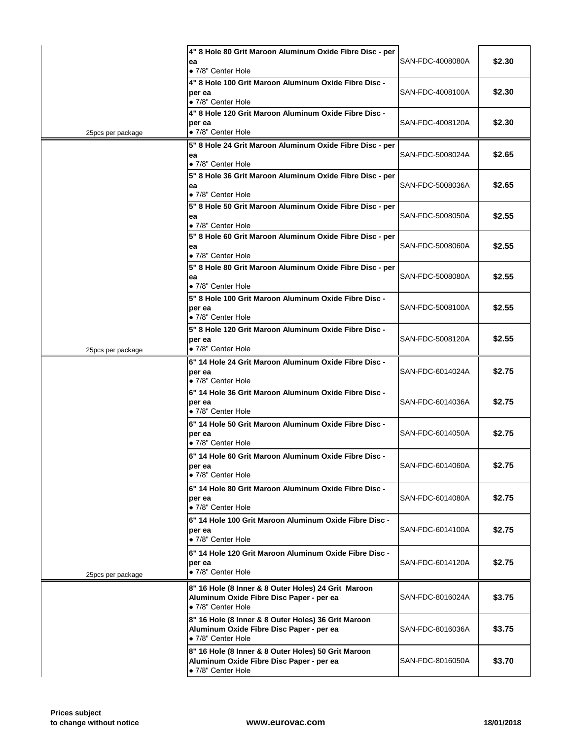|                   | 4" 8 Hole 80 Grit Maroon Aluminum Oxide Fibre Disc - per<br>ea                                                        | SAN-FDC-4008080A |
|-------------------|-----------------------------------------------------------------------------------------------------------------------|------------------|
|                   | • 7/8" Center Hole                                                                                                    |                  |
|                   | 4" 8 Hole 100 Grit Maroon Aluminum Oxide Fibre Disc -<br>per ea<br>· 7/8" Center Hole                                 | SAN-FDC-4008100A |
| 25pcs per package | 4" 8 Hole 120 Grit Maroon Aluminum Oxide Fibre Disc -<br>per ea<br>· 7/8" Center Hole                                 | SAN-FDC-4008120A |
|                   | 5" 8 Hole 24 Grit Maroon Aluminum Oxide Fibre Disc - per<br>ea<br>• 7/8" Center Hole                                  | SAN-FDC-5008024A |
|                   | 5" 8 Hole 36 Grit Maroon Aluminum Oxide Fibre Disc - per<br>ea<br>• 7/8" Center Hole                                  | SAN-FDC-5008036A |
|                   | 5" 8 Hole 50 Grit Maroon Aluminum Oxide Fibre Disc - per<br>ea<br>• 7/8" Center Hole                                  | SAN-FDC-5008050A |
|                   | 5" 8 Hole 60 Grit Maroon Aluminum Oxide Fibre Disc - per<br>ea<br>· 7/8" Center Hole                                  | SAN-FDC-5008060A |
|                   | 5" 8 Hole 80 Grit Maroon Aluminum Oxide Fibre Disc - per<br>ea<br>· 7/8" Center Hole                                  | SAN-FDC-5008080A |
|                   | 5" 8 Hole 100 Grit Maroon Aluminum Oxide Fibre Disc -<br>per ea<br>• 7/8" Center Hole                                 | SAN-FDC-5008100A |
| 25pcs per package | 5" 8 Hole 120 Grit Maroon Aluminum Oxide Fibre Disc -<br>per ea<br>• 7/8" Center Hole                                 | SAN-FDC-5008120A |
|                   | 6" 14 Hole 24 Grit Maroon Aluminum Oxide Fibre Disc -<br>per ea<br>• 7/8" Center Hole                                 | SAN-FDC-6014024A |
|                   | 6" 14 Hole 36 Grit Maroon Aluminum Oxide Fibre Disc -<br>per ea<br>• 7/8" Center Hole                                 | SAN-FDC-6014036A |
|                   | 6" 14 Hole 50 Grit Maroon Aluminum Oxide Fibre Disc -<br>per ea<br>• 7/8" Center Hole                                 | SAN-FDC-6014050A |
|                   | 6" 14 Hole 60 Grit Maroon Aluminum Oxide Fibre Disc -<br>per ea<br>• 7/8" Center Hole                                 | SAN-FDC-6014060A |
|                   | 6" 14 Hole 80 Grit Maroon Aluminum Oxide Fibre Disc -<br>per ea<br>· 7/8" Center Hole                                 | SAN-FDC-6014080A |
|                   | 6" 14 Hole 100 Grit Maroon Aluminum Oxide Fibre Disc -<br>per ea<br>· 7/8" Center Hole                                | SAN-FDC-6014100A |
| 25pcs per package | 6" 14 Hole 120 Grit Maroon Aluminum Oxide Fibre Disc -<br>per ea<br>· 7/8" Center Hole                                | SAN-FDC-6014120A |
|                   | 8" 16 Hole (8 Inner & 8 Outer Holes) 24 Grit Maroon<br>Aluminum Oxide Fibre Disc Paper - per ea<br>· 7/8" Center Hole | SAN-FDC-8016024A |
|                   | 8" 16 Hole (8 Inner & 8 Outer Holes) 36 Grit Maroon<br>Aluminum Oxide Fibre Disc Paper - per ea<br>· 7/8" Center Hole | SAN-FDC-8016036A |
|                   | 8" 16 Hole (8 Inner & 8 Outer Holes) 50 Grit Maroon<br>Aluminum Oxide Fibre Disc Paper - per ea<br>• 7/8" Center Hole | SAN-FDC-8016050A |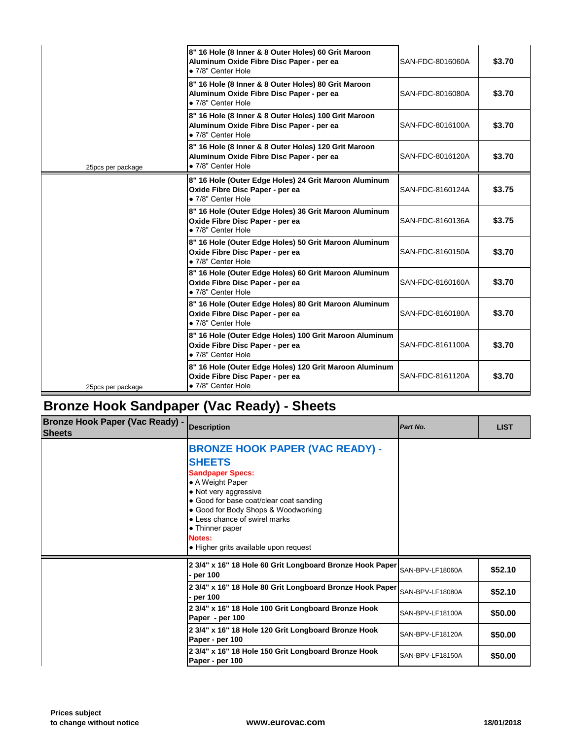|                   | 8" 16 Hole (8 Inner & 8 Outer Holes) 60 Grit Maroon<br>Aluminum Oxide Fibre Disc Paper - per ea<br>• 7/8" Center Hole  | SAN-FDC-8016060A |
|-------------------|------------------------------------------------------------------------------------------------------------------------|------------------|
|                   | 8" 16 Hole (8 Inner & 8 Outer Holes) 80 Grit Maroon<br>Aluminum Oxide Fibre Disc Paper - per ea<br>• 7/8" Center Hole  | SAN-FDC-8016080A |
|                   | 8" 16 Hole (8 Inner & 8 Outer Holes) 100 Grit Maroon<br>Aluminum Oxide Fibre Disc Paper - per ea<br>· 7/8" Center Hole | SAN-FDC-8016100A |
| 25pcs per package | 8" 16 Hole (8 Inner & 8 Outer Holes) 120 Grit Maroon<br>Aluminum Oxide Fibre Disc Paper - per ea<br>• 7/8" Center Hole | SAN-FDC-8016120A |
|                   | 8" 16 Hole (Outer Edge Holes) 24 Grit Maroon Aluminum<br>Oxide Fibre Disc Paper - per ea<br>· 7/8" Center Hole         | SAN-FDC-8160124A |
|                   | 8" 16 Hole (Outer Edge Holes) 36 Grit Maroon Aluminum<br>Oxide Fibre Disc Paper - per ea<br>• 7/8" Center Hole         | SAN-FDC-8160136A |
|                   | 8" 16 Hole (Outer Edge Holes) 50 Grit Maroon Aluminum<br>Oxide Fibre Disc Paper - per ea<br>· 7/8" Center Hole         | SAN-FDC-8160150A |
|                   | 8" 16 Hole (Outer Edge Holes) 60 Grit Maroon Aluminum<br>Oxide Fibre Disc Paper - per ea<br>· 7/8" Center Hole         | SAN-FDC-8160160A |
|                   | 8" 16 Hole (Outer Edge Holes) 80 Grit Maroon Aluminum<br>Oxide Fibre Disc Paper - per ea<br>• 7/8" Center Hole         | SAN-FDC-8160180A |
|                   | 8" 16 Hole (Outer Edge Holes) 100 Grit Maroon Aluminum<br>Oxide Fibre Disc Paper - per ea<br>• 7/8" Center Hole        | SAN-FDC-8161100A |
| 25pcs per package | 8" 16 Hole (Outer Edge Holes) 120 Grit Maroon Aluminum<br>Oxide Fibre Disc Paper - per ea<br>• 7/8" Center Hole        | SAN-FDC-8161120A |

# **Bronze Hook Sandpaper (Vac Ready) - Sheets**

| <b>Bronze Hook Paper (Vac Ready) -</b><br><b>Sheets</b> | <b>Description</b>                                                                                                                                                                                                                                                                                                       | Part No.         |
|---------------------------------------------------------|--------------------------------------------------------------------------------------------------------------------------------------------------------------------------------------------------------------------------------------------------------------------------------------------------------------------------|------------------|
|                                                         | <b>BRONZE HOOK PAPER (VAC READY) -</b><br><b>SHEETS</b><br><b>Sandpaper Specs:</b><br>• A Weight Paper<br>• Not very aggressive<br>• Good for base coat/clear coat sanding<br>• Good for Body Shops & Woodworking<br>• Less chance of swirel marks<br>• Thinner paper<br>Notes:<br>• Higher grits available upon request |                  |
|                                                         | 2 3/4" x 16" 18 Hole 60 Grit Longboard Bronze Hook Paper<br>- per 100                                                                                                                                                                                                                                                    | SAN-BPV-LF18060A |
|                                                         | 2 3/4" x 16" 18 Hole 80 Grit Longboard Bronze Hook Paper<br>- per 100                                                                                                                                                                                                                                                    | SAN-BPV-LF18080A |
|                                                         | 2 3/4" x 16" 18 Hole 100 Grit Longboard Bronze Hook<br>Paper - per 100                                                                                                                                                                                                                                                   | SAN-BPV-LF18100A |
|                                                         | 2 3/4" x 16" 18 Hole 120 Grit Longboard Bronze Hook<br>Paper - per 100                                                                                                                                                                                                                                                   | SAN-BPV-LF18120A |
|                                                         | 2 3/4" x 16" 18 Hole 150 Grit Longboard Bronze Hook<br>Paper - per 100                                                                                                                                                                                                                                                   | SAN-BPV-LF18150A |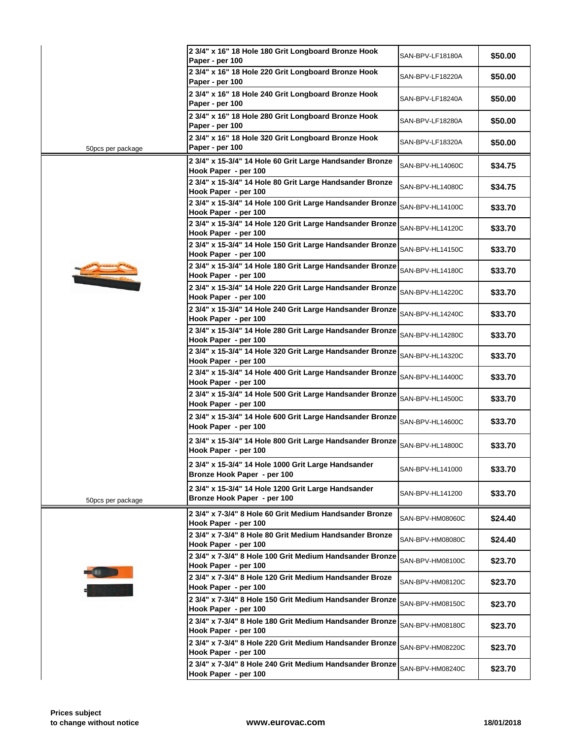|                   | 2 3/4" x 16" 18 Hole 180 Grit Longboard Bronze Hook<br>Paper - per 100             | SAN-BPV-LF18180A |
|-------------------|------------------------------------------------------------------------------------|------------------|
|                   | 2 3/4" x 16" 18 Hole 220 Grit Longboard Bronze Hook<br>Paper - per 100             | SAN-BPV-LF18220A |
|                   | 2 3/4" x 16" 18 Hole 240 Grit Longboard Bronze Hook<br>Paper - per 100             | SAN-BPV-LF18240A |
|                   | 2 3/4" x 16" 18 Hole 280 Grit Longboard Bronze Hook<br>Paper - per 100             | SAN-BPV-LF18280A |
|                   | 2 3/4" x 16" 18 Hole 320 Grit Longboard Bronze Hook                                | SAN-BPV-LF18320A |
| 50pcs per package | Paper - per 100                                                                    |                  |
|                   | 2 3/4" x 15-3/4" 14 Hole 60 Grit Large Handsander Bronze<br>Hook Paper - per 100   | SAN-BPV-HL14060C |
|                   | 2 3/4" x 15-3/4" 14 Hole 80 Grit Large Handsander Bronze<br>Hook Paper - per 100   | SAN-BPV-HL14080C |
|                   | 2 3/4" x 15-3/4" 14 Hole 100 Grit Large Handsander Bronze<br>Hook Paper - per 100  | SAN-BPV-HL14100C |
|                   | 2 3/4" x 15-3/4" 14 Hole 120 Grit Large Handsander Bronze                          | SAN-BPV-HL14120C |
|                   | Hook Paper - per 100<br>2 3/4" x 15-3/4" 14 Hole 150 Grit Large Handsander Bronze  | SAN-BPV-HL14150C |
|                   | Hook Paper - per 100                                                               |                  |
|                   | 2 3/4" x 15-3/4" 14 Hole 180 Grit Large Handsander Bronze<br>Hook Paper - per 100  | SAN-BPV-HL14180C |
|                   | 2 3/4" x 15-3/4" 14 Hole 220 Grit Large Handsander Bronze<br>Hook Paper - per 100  | SAN-BPV-HL14220C |
|                   | 2 3/4" x 15-3/4" 14 Hole 240 Grit Large Handsander Bronze<br>Hook Paper - per 100  | SAN-BPV-HL14240C |
|                   | 2 3/4" x 15-3/4" 14 Hole 280 Grit Large Handsander Bronze<br>Hook Paper - per 100  | SAN-BPV-HL14280C |
|                   | 2 3/4" x 15-3/4" 14 Hole 320 Grit Large Handsander Bronze                          | SAN-BPV-HL14320C |
|                   | Hook Paper - per 100<br>2 3/4" x 15-3/4" 14 Hole 400 Grit Large Handsander Bronze  | SAN-BPV-HL14400C |
|                   | Hook Paper - per 100<br>2 3/4" x 15-3/4" 14 Hole 500 Grit Large Handsander Bronze  | SAN-BPV-HL14500C |
|                   | Hook Paper - per 100                                                               |                  |
|                   | 2 3/4" x 15-3/4" 14 Hole 600 Grit Large Handsander Bronze<br>Hook Paper - per 100  | SAN-BPV-HL14600C |
|                   | 2 3/4" x 15-3/4" 14 Hole 800 Grit Large Handsander Bronze<br>Hook Paper - per 100  | SAN-BPV-HL14800C |
|                   | 2 3/4" x 15-3/4" 14 Hole 1000 Grit Large Handsander<br>Bronze Hook Paper - per 100 | SAN-BPV-HL141000 |
| 50pcs per package | 2 3/4" x 15-3/4" 14 Hole 1200 Grit Large Handsander<br>Bronze Hook Paper - per 100 | SAN-BPV-HL141200 |
|                   | 2 3/4" x 7-3/4" 8 Hole 60 Grit Medium Handsander Bronze<br>Hook Paper - per 100    | SAN-BPV-HM08060C |
|                   | 2 3/4" x 7-3/4" 8 Hole 80 Grit Medium Handsander Bronze<br>Hook Paper - per 100    | SAN-BPV-HM08080C |
|                   | 2 3/4" x 7-3/4" 8 Hole 100 Grit Medium Handsander Bronze                           | SAN-BPV-HM08100C |
|                   | Hook Paper - per 100<br>2 3/4" x 7-3/4" 8 Hole 120 Grit Medium Handsander Broze    | SAN-BPV-HM08120C |
|                   | Hook Paper - per 100<br>2 3/4" x 7-3/4" 8 Hole 150 Grit Medium Handsander Bronze   | SAN-BPV-HM08150C |
|                   | Hook Paper - per 100<br>2 3/4" x 7-3/4" 8 Hole 180 Grit Medium Handsander Bronze   |                  |
|                   | Hook Paper - per 100                                                               | SAN-BPV-HM08180C |
|                   | 2 3/4" x 7-3/4" 8 Hole 220 Grit Medium Handsander Bronze<br>Hook Paper - per 100   | SAN-BPV-HM08220C |
|                   | 2 3/4" x 7-3/4" 8 Hole 240 Grit Medium Handsander Bronze<br>Hook Paper - per 100   | SAN-BPV-HM08240C |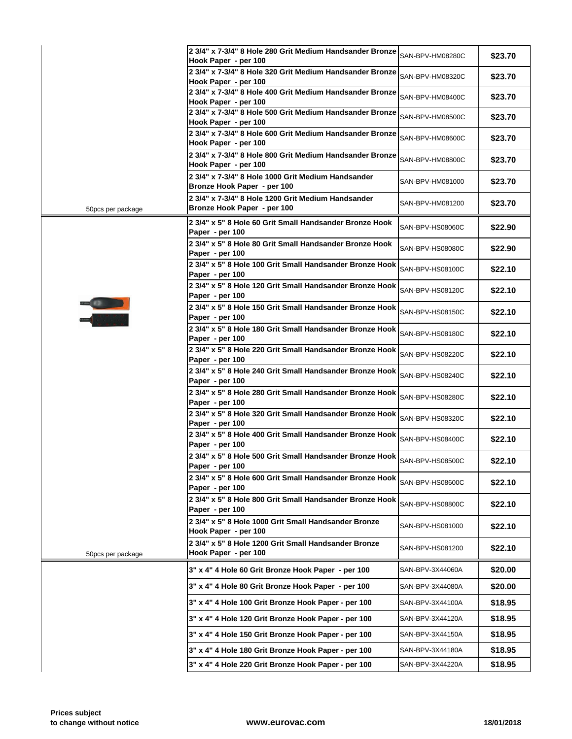|                   | 2 3/4" x 7-3/4" 8 Hole 280 Grit Medium Handsander Bronze<br>Hook Paper - per 100  | SAN-BPV-HM08280C |
|-------------------|-----------------------------------------------------------------------------------|------------------|
|                   | 2 3/4" x 7-3/4" 8 Hole 320 Grit Medium Handsander Bronze<br>Hook Paper - per 100  | SAN-BPV-HM08320C |
|                   | 2 3/4" x 7-3/4" 8 Hole 400 Grit Medium Handsander Bronze                          | SAN-BPV-HM08400C |
|                   | Hook Paper - per 100<br>2 3/4" x 7-3/4" 8 Hole 500 Grit Medium Handsander Bronze  | SAN-BPV-HM08500C |
|                   | Hook Paper - per 100<br>2 3/4" x 7-3/4" 8 Hole 600 Grit Medium Handsander Bronze  | SAN-BPV-HM08600C |
|                   | Hook Paper - per 100                                                              |                  |
|                   | 2 3/4" x 7-3/4" 8 Hole 800 Grit Medium Handsander Bronze<br>Hook Paper - per 100  | SAN-BPV-HM08800C |
|                   | 2 3/4" x 7-3/4" 8 Hole 1000 Grit Medium Handsander<br>Bronze Hook Paper - per 100 | SAN-BPV-HM081000 |
|                   | 2 3/4" x 7-3/4" 8 Hole 1200 Grit Medium Handsander                                |                  |
| 50pcs per package | Bronze Hook Paper - per 100                                                       | SAN-BPV-HM081200 |
|                   | 2 3/4" x 5" 8 Hole 60 Grit Small Handsander Bronze Hook<br>Paper - per 100        | SAN-BPV-HS08060C |
|                   | 2 3/4" x 5" 8 Hole 80 Grit Small Handsander Bronze Hook<br>Paper - per 100        | SAN-BPV-HS08080C |
|                   | 2 3/4" x 5" 8 Hole 100 Grit Small Handsander Bronze Hook                          | SAN-BPV-HS08100C |
|                   | Paper - per 100<br>2 3/4" x 5" 8 Hole 120 Grit Small Handsander Bronze Hook       | SAN-BPV-HS08120C |
|                   | Paper - per 100                                                                   |                  |
|                   | 2 3/4" x 5" 8 Hole 150 Grit Small Handsander Bronze Hook<br>Paper - per 100       | SAN-BPV-HS08150C |
|                   | 2 3/4" x 5" 8 Hole 180 Grit Small Handsander Bronze Hook<br>Paper - per 100       | SAN-BPV-HS08180C |
|                   | 2 3/4" x 5" 8 Hole 220 Grit Small Handsander Bronze Hook<br>Paper - per 100       | SAN-BPV-HS08220C |
|                   | 2 3/4" x 5" 8 Hole 240 Grit Small Handsander Bronze Hook<br>Paper - per 100       | SAN-BPV-HS08240C |
|                   | 2 3/4" x 5" 8 Hole 280 Grit Small Handsander Bronze Hook<br>Paper - per 100       | SAN-BPV-HS08280C |
|                   | 2 3/4" x 5" 8 Hole 320 Grit Small Handsander Bronze Hook<br>Paper - per 100       | SAN-BPV-HS08320C |
|                   | 2 3/4" x 5" 8 Hole 400 Grit Small Handsander Bronze Hook<br>Paper - per 100       | SAN-BPV-HS08400C |
|                   | 2 3/4" x 5" 8 Hole 500 Grit Small Handsander Bronze Hook<br>Paper - per 100       | SAN-BPV-HS08500C |
|                   | 2 3/4" x 5" 8 Hole 600 Grit Small Handsander Bronze Hook<br>Paper - per 100       | SAN-BPV-HS08600C |
|                   | 2 3/4" x 5" 8 Hole 800 Grit Small Handsander Bronze Hook<br>Paper - per 100       | SAN-BPV-HS08800C |
|                   | 2 3/4" x 5" 8 Hole 1000 Grit Small Handsander Bronze<br>Hook Paper - per 100      | SAN-BPV-HS081000 |
| 50pcs per package | 2 3/4" x 5" 8 Hole 1200 Grit Small Handsander Bronze<br>Hook Paper - per 100      | SAN-BPV-HS081200 |
|                   | 3" x 4" 4 Hole 60 Grit Bronze Hook Paper - per 100                                | SAN-BPV-3X44060A |
|                   | 3" x 4" 4 Hole 80 Grit Bronze Hook Paper - per 100                                | SAN-BPV-3X44080A |
|                   | 3" x 4" 4 Hole 100 Grit Bronze Hook Paper - per 100                               | SAN-BPV-3X44100A |
|                   | 3" x 4" 4 Hole 120 Grit Bronze Hook Paper - per 100                               | SAN-BPV-3X44120A |
|                   | 3" x 4" 4 Hole 150 Grit Bronze Hook Paper - per 100                               | SAN-BPV-3X44150A |
|                   | 3" x 4" 4 Hole 180 Grit Bronze Hook Paper - per 100                               | SAN-BPV-3X44180A |
|                   | 3" x 4" 4 Hole 220 Grit Bronze Hook Paper - per 100                               | SAN-BPV-3X44220A |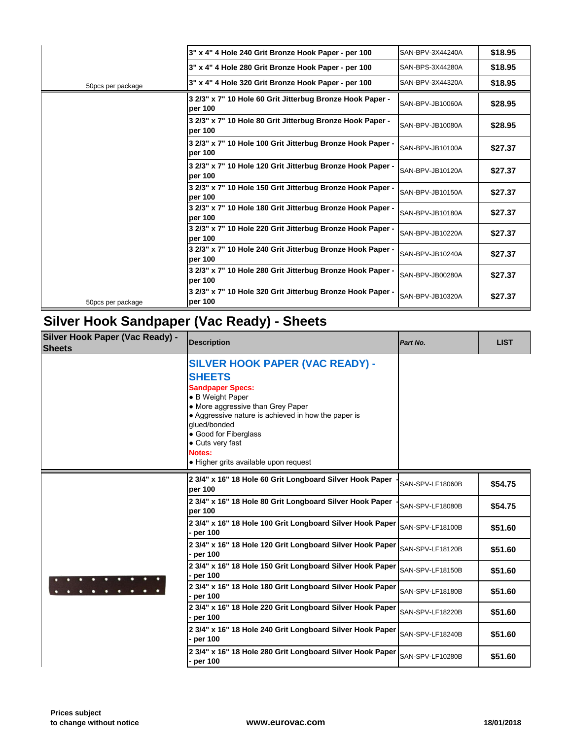|                   | 3" x 4" 4 Hole 240 Grit Bronze Hook Paper - per 100                   | SAN-BPV-3X44240A |
|-------------------|-----------------------------------------------------------------------|------------------|
|                   | 3" x 4" 4 Hole 280 Grit Bronze Hook Paper - per 100                   | SAN-BPS-3X44280A |
| 50pcs per package | 3" x 4" 4 Hole 320 Grit Bronze Hook Paper - per 100                   | SAN-BPV-3X44320A |
|                   | 3 2/3" x 7" 10 Hole 60 Grit Jitterbug Bronze Hook Paper -<br>per 100  | SAN-BPV-JB10060A |
|                   | 3 2/3" x 7" 10 Hole 80 Grit Jitterbug Bronze Hook Paper -<br>per 100  | SAN-BPV-JB10080A |
|                   | 3 2/3" x 7" 10 Hole 100 Grit Jitterbug Bronze Hook Paper -<br>per 100 | SAN-BPV-JB10100A |
|                   | 3 2/3" x 7" 10 Hole 120 Grit Jitterbug Bronze Hook Paper -<br>per 100 | SAN-BPV-JB10120A |
|                   | 3 2/3" x 7" 10 Hole 150 Grit Jitterbug Bronze Hook Paper -<br>per 100 | SAN-BPV-JB10150A |
|                   | 3 2/3" x 7" 10 Hole 180 Grit Jitterbug Bronze Hook Paper -<br>per 100 | SAN-BPV-JB10180A |
|                   | 3 2/3" x 7" 10 Hole 220 Grit Jitterbug Bronze Hook Paper -<br>per 100 | SAN-BPV-JB10220A |
|                   | 3 2/3" x 7" 10 Hole 240 Grit Jitterbug Bronze Hook Paper -<br>per 100 | SAN-BPV-JB10240A |
|                   | 3 2/3" x 7" 10 Hole 280 Grit Jitterbug Bronze Hook Paper -<br>per 100 | SAN-BPV-JB00280A |
| 50pcs per package | 3 2/3" x 7" 10 Hole 320 Grit Jitterbug Bronze Hook Paper -<br>per 100 | SAN-BPV-JB10320A |

# **Silver Hook Sandpaper (Vac Ready) - Sheets**

| Silver Hook Paper (Vac Ready) -<br><b>Sheets</b> | <b>Description</b>                                                                                                                                                                                                                                                                                                 | Part No.         |
|--------------------------------------------------|--------------------------------------------------------------------------------------------------------------------------------------------------------------------------------------------------------------------------------------------------------------------------------------------------------------------|------------------|
|                                                  | <b>SILVER HOOK PAPER (VAC READY) -</b><br><b>SHEETS</b><br><b>Sandpaper Specs:</b><br>• B Weight Paper<br>• More aggressive than Grey Paper<br>• Aggressive nature is achieved in how the paper is<br>glued/bonded<br>• Good for Fiberglass<br>• Cuts very fast<br>Notes:<br>• Higher grits available upon request |                  |
|                                                  | 2 3/4" x 16" 18 Hole 60 Grit Longboard Silver Hook Paper<br>per 100                                                                                                                                                                                                                                                | SAN-SPV-LF18060B |
|                                                  | 2 3/4" x 16" 18 Hole 80 Grit Longboard Silver Hook Paper<br>per 100                                                                                                                                                                                                                                                | SAN-SPV-LF18080B |
|                                                  | 2 3/4" x 16" 18 Hole 100 Grit Longboard Silver Hook Paper<br>$\rho$ er 100                                                                                                                                                                                                                                         | SAN-SPV-LF18100B |
|                                                  | 2 3/4" x 16" 18 Hole 120 Grit Longboard Silver Hook Paper<br>- per 100                                                                                                                                                                                                                                             | SAN-SPV-LF18120B |
|                                                  | 2 3/4" x 16" 18 Hole 150 Grit Longboard Silver Hook Paper<br>per 100                                                                                                                                                                                                                                               | SAN-SPV-LF18150B |
|                                                  | 2 3/4" x 16" 18 Hole 180 Grit Longboard Silver Hook Paper<br>- per 100                                                                                                                                                                                                                                             | SAN-SPV-LF18180B |
|                                                  | 2 3/4" x 16" 18 Hole 220 Grit Longboard Silver Hook Paper<br>- per 100                                                                                                                                                                                                                                             | SAN-SPV-LF18220B |
|                                                  | 2 3/4" x 16" 18 Hole 240 Grit Longboard Silver Hook Paper<br>- per 100                                                                                                                                                                                                                                             | SAN-SPV-LF18240B |
|                                                  | 2 3/4" x 16" 18 Hole 280 Grit Longboard Silver Hook Paper<br>- per 100                                                                                                                                                                                                                                             | SAN-SPV-LF10280B |
|                                                  |                                                                                                                                                                                                                                                                                                                    |                  |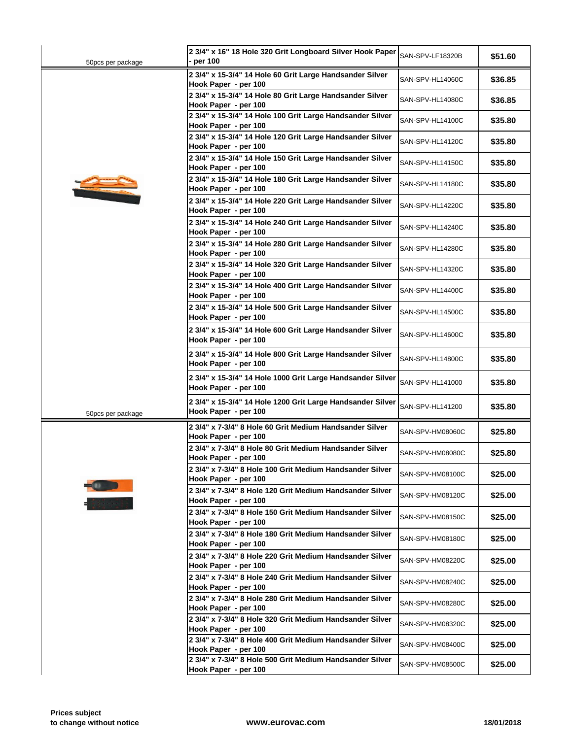| 50pcs per package | 2 3/4" x 16" 18 Hole 320 Grit Longboard Silver Hook Paper<br>· per 100             | SAN-SPV-LF18320B |  |
|-------------------|------------------------------------------------------------------------------------|------------------|--|
|                   | 2 3/4" x 15-3/4" 14 Hole 60 Grit Large Handsander Silver<br>Hook Paper - per 100   | SAN-SPV-HL14060C |  |
|                   | 2 3/4" x 15-3/4" 14 Hole 80 Grit Large Handsander Silver<br>Hook Paper - per 100   | SAN-SPV-HL14080C |  |
|                   | 2 3/4" x 15-3/4" 14 Hole 100 Grit Large Handsander Silver                          | SAN-SPV-HL14100C |  |
|                   | Hook Paper - per 100<br>2 3/4" x 15-3/4" 14 Hole 120 Grit Large Handsander Silver  | SAN-SPV-HL14120C |  |
|                   | Hook Paper - per 100<br>2 3/4" x 15-3/4" 14 Hole 150 Grit Large Handsander Silver  | SAN-SPV-HL14150C |  |
|                   | Hook Paper - per 100<br>2 3/4" x 15-3/4" 14 Hole 180 Grit Large Handsander Silver  | SAN-SPV-HL14180C |  |
|                   | Hook Paper - per 100<br>2 3/4" x 15-3/4" 14 Hole 220 Grit Large Handsander Silver  | SAN-SPV-HL14220C |  |
|                   | Hook Paper - per 100<br>2 3/4" x 15-3/4" 14 Hole 240 Grit Large Handsander Silver  |                  |  |
|                   | Hook Paper - per 100                                                               | SAN-SPV-HL14240C |  |
|                   | 2 3/4" x 15-3/4" 14 Hole 280 Grit Large Handsander Silver<br>Hook Paper - per 100  | SAN-SPV-HL14280C |  |
|                   | 2 3/4" x 15-3/4" 14 Hole 320 Grit Large Handsander Silver<br>Hook Paper - per 100  | SAN-SPV-HL14320C |  |
|                   | 2 3/4" x 15-3/4" 14 Hole 400 Grit Large Handsander Silver<br>Hook Paper - per 100  | SAN-SPV-HL14400C |  |
|                   | 2 3/4" x 15-3/4" 14 Hole 500 Grit Large Handsander Silver<br>Hook Paper - per 100  | SAN-SPV-HL14500C |  |
|                   | 2 3/4" x 15-3/4" 14 Hole 600 Grit Large Handsander Silver<br>Hook Paper - per 100  | SAN-SPV-HL14600C |  |
|                   | 2 3/4" x 15-3/4" 14 Hole 800 Grit Large Handsander Silver<br>Hook Paper - per 100  | SAN-SPV-HL14800C |  |
|                   | 2 3/4" x 15-3/4" 14 Hole 1000 Grit Large Handsander Silver<br>Hook Paper - per 100 | SAN-SPV-HL141000 |  |
| 50pcs per package | 2 3/4" x 15-3/4" 14 Hole 1200 Grit Large Handsander Silver<br>Hook Paper - per 100 | SAN-SPV-HL141200 |  |
|                   | 2 3/4" x 7-3/4" 8 Hole 60 Grit Medium Handsander Silver<br>Hook Paper - per 100    | SAN-SPV-HM08060C |  |
|                   | 2 3/4" x 7-3/4" 8 Hole 80 Grit Medium Handsander Silver<br>Hook Paper - per 100    | SAN-SPV-HM08080C |  |
|                   | 2 3/4" x 7-3/4" 8 Hole 100 Grit Medium Handsander Silver<br>Hook Paper - per 100   | SAN-SPV-HM08100C |  |
|                   | 2 3/4" x 7-3/4" 8 Hole 120 Grit Medium Handsander Silver<br>Hook Paper - per 100   | SAN-SPV-HM08120C |  |
|                   | 2 3/4" x 7-3/4" 8 Hole 150 Grit Medium Handsander Silver<br>Hook Paper - per 100   | SAN-SPV-HM08150C |  |
|                   | 2 3/4" x 7-3/4" 8 Hole 180 Grit Medium Handsander Silver<br>Hook Paper - per 100   | SAN-SPV-HM08180C |  |
|                   | 2 3/4" x 7-3/4" 8 Hole 220 Grit Medium Handsander Silver<br>Hook Paper - per 100   | SAN-SPV-HM08220C |  |
|                   | 2 3/4" x 7-3/4" 8 Hole 240 Grit Medium Handsander Silver<br>Hook Paper - per 100   | SAN-SPV-HM08240C |  |
|                   | 2 3/4" x 7-3/4" 8 Hole 280 Grit Medium Handsander Silver<br>Hook Paper - per 100   | SAN-SPV-HM08280C |  |
|                   | 2 3/4" x 7-3/4" 8 Hole 320 Grit Medium Handsander Silver<br>Hook Paper - per 100   | SAN-SPV-HM08320C |  |
|                   | 2 3/4" x 7-3/4" 8 Hole 400 Grit Medium Handsander Silver                           | SAN-SPV-HM08400C |  |
|                   | Hook Paper - per 100<br>2 3/4" x 7-3/4" 8 Hole 500 Grit Medium Handsander Silver   | SAN-SPV-HM08500C |  |
|                   | Hook Paper - per 100                                                               |                  |  |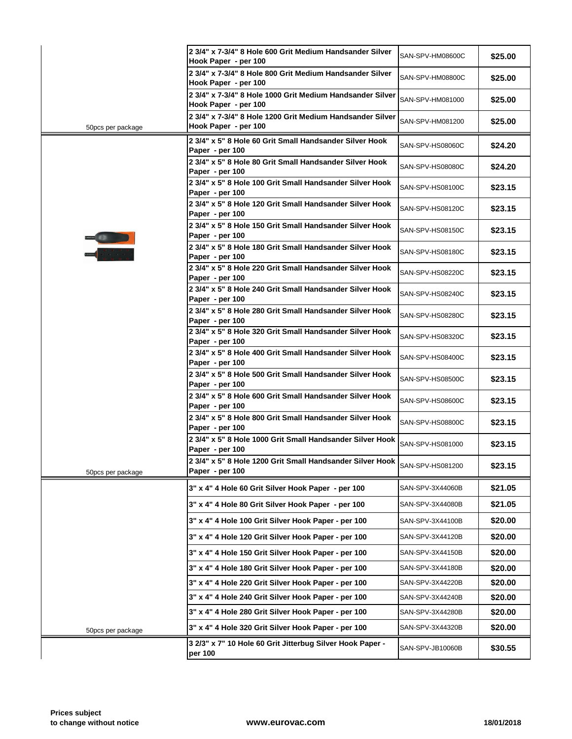|                   | 2 3/4" x 7-3/4" 8 Hole 600 Grit Medium Handsander Silver<br>Hook Paper - per 100              | SAN-SPV-HM08600C |
|-------------------|-----------------------------------------------------------------------------------------------|------------------|
|                   | 2 3/4" x 7-3/4" 8 Hole 800 Grit Medium Handsander Silver<br>Hook Paper - per 100              | SAN-SPV-HM08800C |
|                   | 2 3/4" x 7-3/4" 8 Hole 1000 Grit Medium Handsander Silver<br>Hook Paper - per 100             | SAN-SPV-HM081000 |
| 50pcs per package | 2 3/4" x 7-3/4" 8 Hole 1200 Grit Medium Handsander Silver<br>Hook Paper - per 100             | SAN-SPV-HM081200 |
|                   | 2 3/4" x 5" 8 Hole 60 Grit Small Handsander Silver Hook<br>Paper - per 100                    | SAN-SPV-HS08060C |
|                   | 2 3/4" x 5" 8 Hole 80 Grit Small Handsander Silver Hook<br>Paper - per 100                    | SAN-SPV-HS08080C |
|                   | 2 3/4" x 5" 8 Hole 100 Grit Small Handsander Silver Hook<br>Paper - per 100                   | SAN-SPV-HS08100C |
|                   | 2 3/4" x 5" 8 Hole 120 Grit Small Handsander Silver Hook<br>Paper - per 100                   | SAN-SPV-HS08120C |
|                   | 2 3/4" x 5" 8 Hole 150 Grit Small Handsander Silver Hook<br>Paper - per 100                   | SAN-SPV-HS08150C |
|                   | 2 3/4" x 5" 8 Hole 180 Grit Small Handsander Silver Hook<br>Paper - per 100                   | SAN-SPV-HS08180C |
|                   | 2 3/4" x 5" 8 Hole 220 Grit Small Handsander Silver Hook<br>Paper - per 100                   | SAN-SPV-HS08220C |
|                   | 2 3/4" x 5" 8 Hole 240 Grit Small Handsander Silver Hook<br>Paper - per 100                   | SAN-SPV-HS08240C |
|                   | 2 3/4" x 5" 8 Hole 280 Grit Small Handsander Silver Hook<br>Paper - per 100                   | SAN-SPV-HS08280C |
|                   | 2 3/4" x 5" 8 Hole 320 Grit Small Handsander Silver Hook<br>Paper - per 100                   | SAN-SPV-HS08320C |
|                   | 2 3/4" x 5" 8 Hole 400 Grit Small Handsander Silver Hook<br>Paper - per 100                   | SAN-SPV-HS08400C |
|                   | 2 3/4" x 5" 8 Hole 500 Grit Small Handsander Silver Hook<br>Paper - per 100                   | SAN-SPV-HS08500C |
|                   | 2 3/4" x 5" 8 Hole 600 Grit Small Handsander Silver Hook<br>Paper - per 100                   | SAN-SPV-HS08600C |
|                   | 2 3/4" x 5" 8 Hole 800 Grit Small Handsander Silver Hook<br>Paper - per 100                   | SAN-SPV-HS08800C |
|                   | 2 3/4" x 5" 8 Hole 1000 Grit Small Handsander Silver Hook<br>Paper - per 100                  | SAN-SPV-HS081000 |
| 50pcs per package | 2 3/4" x 5" 8 Hole 1200 Grit Small Handsander Silver Hook SAN-SPV-HS081200<br>Paper - per 100 |                  |
|                   | 3" x 4" 4 Hole 60 Grit Silver Hook Paper - per 100                                            | SAN-SPV-3X44060B |
|                   | 3" x 4" 4 Hole 80 Grit Silver Hook Paper - per 100                                            | SAN-SPV-3X44080B |
|                   | 3" x 4" 4 Hole 100 Grit Silver Hook Paper - per 100                                           | SAN-SPV-3X44100B |
|                   | 3" x 4" 4 Hole 120 Grit Silver Hook Paper - per 100                                           | SAN-SPV-3X44120B |
|                   | 3" x 4" 4 Hole 150 Grit Silver Hook Paper - per 100                                           | SAN-SPV-3X44150B |
|                   | 3" x 4" 4 Hole 180 Grit Silver Hook Paper - per 100                                           | SAN-SPV-3X44180B |
|                   | 3" x 4" 4 Hole 220 Grit Silver Hook Paper - per 100                                           | SAN-SPV-3X44220B |
|                   | 3" x 4" 4 Hole 240 Grit Silver Hook Paper - per 100                                           | SAN-SPV-3X44240B |
|                   | 3" x 4" 4 Hole 280 Grit Silver Hook Paper - per 100                                           | SAN-SPV-3X44280B |
| 50pcs per package | 3" x 4" 4 Hole 320 Grit Silver Hook Paper - per 100                                           | SAN-SPV-3X44320B |
|                   | 3 2/3" x 7" 10 Hole 60 Grit Jitterbug Silver Hook Paper -<br>per 100                          | SAN-SPV-JB10060B |
|                   |                                                                                               |                  |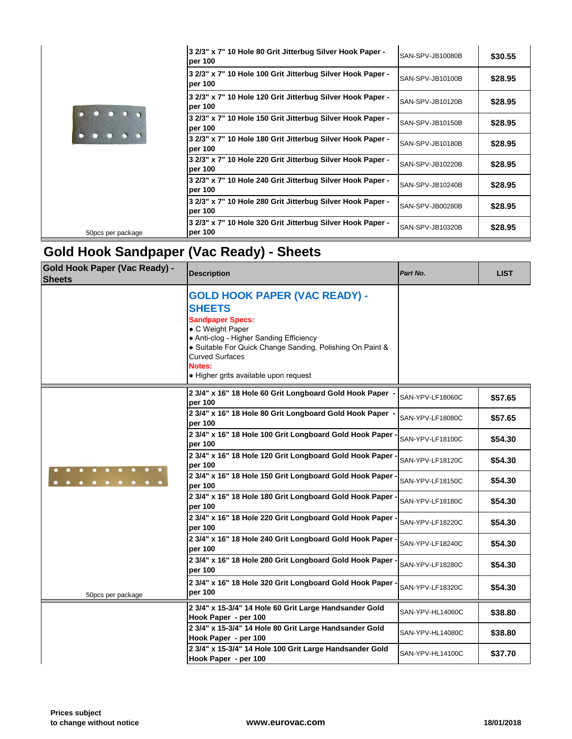|                   | 3 2/3" x 7" 10 Hole 80 Grit Jitterbug Silver Hook Paper -<br>per 100  | SAN-SPV-JB10080B |
|-------------------|-----------------------------------------------------------------------|------------------|
|                   | 3 2/3" x 7" 10 Hole 100 Grit Jitterbug Silver Hook Paper -<br>per 100 | SAN-SPV-JB10100B |
|                   | 3 2/3" x 7" 10 Hole 120 Grit Jitterbug Silver Hook Paper -<br>per 100 | SAN-SPV-JB10120B |
|                   | 3 2/3" x 7" 10 Hole 150 Grit Jitterbug Silver Hook Paper -<br>per 100 | SAN-SPV-JB10150B |
|                   | 3 2/3" x 7" 10 Hole 180 Grit Jitterbug Silver Hook Paper -<br>per 100 | SAN-SPV-JB10180B |
|                   | 3 2/3" x 7" 10 Hole 220 Grit Jitterbug Silver Hook Paper -<br>per 100 | SAN-SPV-JB10220B |
|                   | 3 2/3" x 7" 10 Hole 240 Grit Jitterbug Silver Hook Paper -<br>per 100 | SAN-SPV-JB10240B |
|                   | 3 2/3" x 7" 10 Hole 280 Grit Jitterbug Silver Hook Paper -<br>per 100 | SAN-SPV-JB00280B |
| 50pcs per package | 3 2/3" x 7" 10 Hole 320 Grit Jitterbug Silver Hook Paper -<br>per 100 | SAN-SPV-JB10320B |

## **Gold Hook Sandpaper (Vac Ready) - Sheets**

| <b>Gold Hook Paper (Vac Ready) -</b><br><b>Sheets</b> | <b>Description</b>                                                                                                                                                                                                                                                                        | Part No.         |
|-------------------------------------------------------|-------------------------------------------------------------------------------------------------------------------------------------------------------------------------------------------------------------------------------------------------------------------------------------------|------------------|
|                                                       | <b>GOLD HOOK PAPER (VAC READY) -</b><br><b>SHEETS</b><br><b>Sandpaper Specs:</b><br>• C Weight Paper<br>• Anti-clog - Higher Sanding Efficiency<br>• Suitable For Quick Change Sanding, Polishing On Paint &<br><b>Curved Surfaces</b><br>Notes:<br>· Higher grits available upon request |                  |
|                                                       | 2 3/4" x 16" 18 Hole 60 Grit Longboard Gold Hook Paper<br>per 100                                                                                                                                                                                                                         | SAN-YPV-LF18060C |
|                                                       | 2 3/4" x 16" 18 Hole 80 Grit Longboard Gold Hook Paper -<br>per 100                                                                                                                                                                                                                       | SAN-YPV-LF18080C |
|                                                       | 2 3/4" x 16" 18 Hole 100 Grit Longboard Gold Hook Paper .<br>per 100                                                                                                                                                                                                                      | SAN-YPV-LF18100C |
|                                                       | 2 3/4" x 16" 18 Hole 120 Grit Longboard Gold Hook Paper -<br>per 100                                                                                                                                                                                                                      | SAN-YPV-LF18120C |
|                                                       | 2 3/4" x 16" 18 Hole 150 Grit Longboard Gold Hook Paper .<br>per 100                                                                                                                                                                                                                      | SAN-YPV-LF18150C |
|                                                       | 2 3/4" x 16" 18 Hole 180 Grit Longboard Gold Hook Paper<br>per 100                                                                                                                                                                                                                        | SAN-YPV-LF18180C |
|                                                       | 2 3/4" x 16" 18 Hole 220 Grit Longboard Gold Hook Paper<br>per 100                                                                                                                                                                                                                        | SAN-YPV-LF18220C |
|                                                       | 2 3/4" x 16" 18 Hole 240 Grit Longboard Gold Hook Paper<br>per 100                                                                                                                                                                                                                        | SAN-YPV-LF18240C |
|                                                       | 2 3/4" x 16" 18 Hole 280 Grit Longboard Gold Hook Paper<br>per 100                                                                                                                                                                                                                        | SAN-YPV-LF18280C |
| 50pcs per package                                     | 2 3/4" x 16" 18 Hole 320 Grit Longboard Gold Hook Paper<br>per 100                                                                                                                                                                                                                        | SAN-YPV-LF18320C |
|                                                       | 2 3/4" x 15-3/4" 14 Hole 60 Grit Large Handsander Gold<br>Hook Paper - per 100                                                                                                                                                                                                            | SAN-YPV-HL14060C |
|                                                       | 2 3/4" x 15-3/4" 14 Hole 80 Grit Large Handsander Gold<br>Hook Paper - per 100                                                                                                                                                                                                            | SAN-YPV-HL14080C |
|                                                       | 2 3/4" x 15-3/4" 14 Hole 100 Grit Large Handsander Gold<br>Hook Paper - per 100                                                                                                                                                                                                           | SAN-YPV-HL14100C |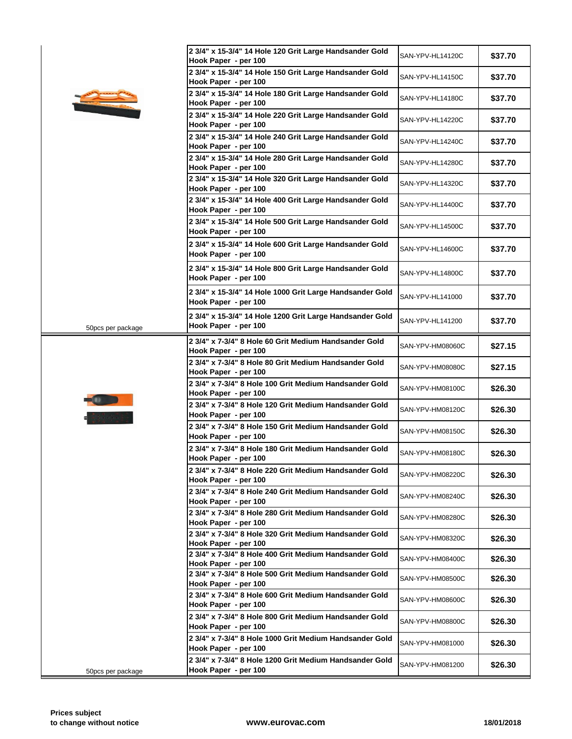| 2 3/4" x 15-3/4" 14 Hole 120 Grit Large Handsander Gold<br>Hook Paper - per 100  | SAN-YPV-HL14120C                                                                                                                                                                                                                                                                                                                                                                                                                                                                                                                                                                                                            |
|----------------------------------------------------------------------------------|-----------------------------------------------------------------------------------------------------------------------------------------------------------------------------------------------------------------------------------------------------------------------------------------------------------------------------------------------------------------------------------------------------------------------------------------------------------------------------------------------------------------------------------------------------------------------------------------------------------------------------|
| 2 3/4" x 15-3/4" 14 Hole 150 Grit Large Handsander Gold<br>Hook Paper - per 100  | SAN-YPV-HL14150C                                                                                                                                                                                                                                                                                                                                                                                                                                                                                                                                                                                                            |
| 2 3/4" x 15-3/4" 14 Hole 180 Grit Large Handsander Gold<br>Hook Paper - per 100  | SAN-YPV-HL14180C                                                                                                                                                                                                                                                                                                                                                                                                                                                                                                                                                                                                            |
| 2 3/4" x 15-3/4" 14 Hole 220 Grit Large Handsander Gold                          | SAN-YPV-HL14220C                                                                                                                                                                                                                                                                                                                                                                                                                                                                                                                                                                                                            |
| 2 3/4" x 15-3/4" 14 Hole 240 Grit Large Handsander Gold                          | SAN-YPV-HL14240C                                                                                                                                                                                                                                                                                                                                                                                                                                                                                                                                                                                                            |
| 2 3/4" x 15-3/4" 14 Hole 280 Grit Large Handsander Gold                          | SAN-YPV-HL14280C                                                                                                                                                                                                                                                                                                                                                                                                                                                                                                                                                                                                            |
| 2 3/4" x 15-3/4" 14 Hole 320 Grit Large Handsander Gold                          | SAN-YPV-HL14320C                                                                                                                                                                                                                                                                                                                                                                                                                                                                                                                                                                                                            |
| 2 3/4" x 15-3/4" 14 Hole 400 Grit Large Handsander Gold                          | SAN-YPV-HL14400C                                                                                                                                                                                                                                                                                                                                                                                                                                                                                                                                                                                                            |
| 2 3/4" x 15-3/4" 14 Hole 500 Grit Large Handsander Gold                          | SAN-YPV-HL14500C                                                                                                                                                                                                                                                                                                                                                                                                                                                                                                                                                                                                            |
| 2 3/4" x 15-3/4" 14 Hole 600 Grit Large Handsander Gold                          | SAN-YPV-HL14600C                                                                                                                                                                                                                                                                                                                                                                                                                                                                                                                                                                                                            |
| Hook Paper - per 100                                                             |                                                                                                                                                                                                                                                                                                                                                                                                                                                                                                                                                                                                                             |
| Hook Paper - per 100                                                             | SAN-YPV-HL14800C                                                                                                                                                                                                                                                                                                                                                                                                                                                                                                                                                                                                            |
| Hook Paper - per 100                                                             | SAN-YPV-HL141000                                                                                                                                                                                                                                                                                                                                                                                                                                                                                                                                                                                                            |
| 2 3/4" x 15-3/4" 14 Hole 1200 Grit Large Handsander Gold<br>Hook Paper - per 100 | SAN-YPV-HL141200                                                                                                                                                                                                                                                                                                                                                                                                                                                                                                                                                                                                            |
| 2 3/4" x 7-3/4" 8 Hole 60 Grit Medium Handsander Gold                            | SAN-YPV-HM08060C                                                                                                                                                                                                                                                                                                                                                                                                                                                                                                                                                                                                            |
| 2 3/4" x 7-3/4" 8 Hole 80 Grit Medium Handsander Gold                            | SAN-YPV-HM08080C                                                                                                                                                                                                                                                                                                                                                                                                                                                                                                                                                                                                            |
| 2 3/4" x 7-3/4" 8 Hole 100 Grit Medium Handsander Gold                           | SAN-YPV-HM08100C                                                                                                                                                                                                                                                                                                                                                                                                                                                                                                                                                                                                            |
| 2 3/4" x 7-3/4" 8 Hole 120 Grit Medium Handsander Gold                           | SAN-YPV-HM08120C                                                                                                                                                                                                                                                                                                                                                                                                                                                                                                                                                                                                            |
| 2 3/4" x 7-3/4" 8 Hole 150 Grit Medium Handsander Gold                           | SAN-YPV-HM08150C                                                                                                                                                                                                                                                                                                                                                                                                                                                                                                                                                                                                            |
| 2 3/4" x 7-3/4" 8 Hole 180 Grit Medium Handsander Gold                           | SAN-YPV-HM08180C                                                                                                                                                                                                                                                                                                                                                                                                                                                                                                                                                                                                            |
| 2 3/4" x 7-3/4" 8 Hole 220 Grit Medium Handsander Gold                           | SAN-YPV-HM08220C                                                                                                                                                                                                                                                                                                                                                                                                                                                                                                                                                                                                            |
| 2 3/4" x 7-3/4" 8 Hole 240 Grit Medium Handsander Gold                           | SAN-YPV-HM08240C                                                                                                                                                                                                                                                                                                                                                                                                                                                                                                                                                                                                            |
| Hook Paper - per 100<br>2 3/4" x 7-3/4" 8 Hole 280 Grit Medium Handsander Gold   | SAN-YPV-HM08280C                                                                                                                                                                                                                                                                                                                                                                                                                                                                                                                                                                                                            |
| Hook Paper - per 100<br>2 3/4" x 7-3/4" 8 Hole 320 Grit Medium Handsander Gold   | SAN-YPV-HM08320C                                                                                                                                                                                                                                                                                                                                                                                                                                                                                                                                                                                                            |
| Hook Paper - per 100<br>2 3/4" x 7-3/4" 8 Hole 400 Grit Medium Handsander Gold   | SAN-YPV-HM08400C                                                                                                                                                                                                                                                                                                                                                                                                                                                                                                                                                                                                            |
| Hook Paper - per 100<br>2 3/4" x 7-3/4" 8 Hole 500 Grit Medium Handsander Gold   | SAN-YPV-HM08500C                                                                                                                                                                                                                                                                                                                                                                                                                                                                                                                                                                                                            |
| Hook Paper - per 100<br>2 3/4" x 7-3/4" 8 Hole 600 Grit Medium Handsander Gold   |                                                                                                                                                                                                                                                                                                                                                                                                                                                                                                                                                                                                                             |
| Hook Paper - per 100                                                             | SAN-YPV-HM08600C                                                                                                                                                                                                                                                                                                                                                                                                                                                                                                                                                                                                            |
| Hook Paper - per 100                                                             | SAN-YPV-HM08800C                                                                                                                                                                                                                                                                                                                                                                                                                                                                                                                                                                                                            |
| Hook Paper - per 100                                                             | SAN-YPV-HM081000                                                                                                                                                                                                                                                                                                                                                                                                                                                                                                                                                                                                            |
| Hook Paper - per 100                                                             | SAN-YPV-HM081200                                                                                                                                                                                                                                                                                                                                                                                                                                                                                                                                                                                                            |
|                                                                                  | Hook Paper - per 100<br>Hook Paper - per 100<br>Hook Paper - per 100<br>Hook Paper - per 100<br>Hook Paper - per 100<br>Hook Paper - per 100<br>2 3/4" x 15-3/4" 14 Hole 800 Grit Large Handsander Gold<br>2 3/4" x 15-3/4" 14 Hole 1000 Grit Large Handsander Gold<br>Hook Paper - per 100<br>Hook Paper - per 100<br>Hook Paper - per 100<br>Hook Paper - per 100<br>Hook Paper - per 100<br>Hook Paper - per 100<br>Hook Paper - per 100<br>2 3/4" x 7-3/4" 8 Hole 800 Grit Medium Handsander Gold<br>2 3/4" x 7-3/4" 8 Hole 1000 Grit Medium Handsander Gold<br>2 3/4" x 7-3/4" 8 Hole 1200 Grit Medium Handsander Gold |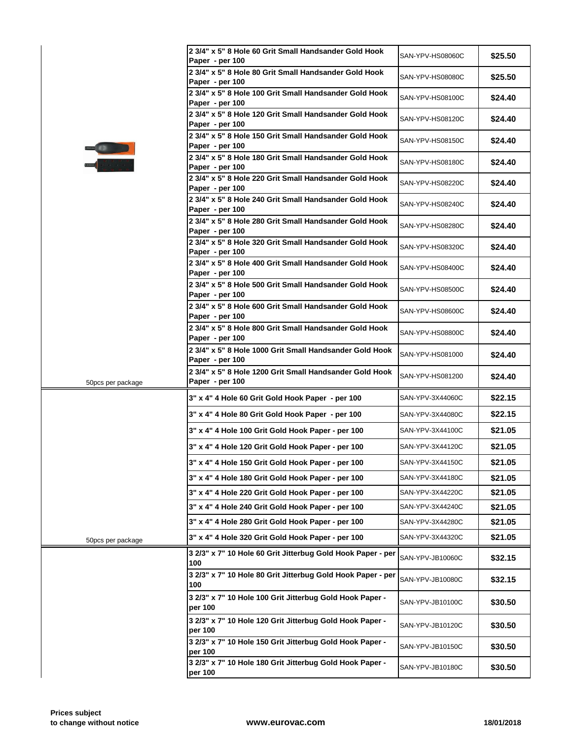|                   | 2 3/4" x 5" 8 Hole 60 Grit Small Handsander Gold Hook<br>Paper - per 100   | SAN-YPV-HS08060C |
|-------------------|----------------------------------------------------------------------------|------------------|
|                   | 2 3/4" x 5" 8 Hole 80 Grit Small Handsander Gold Hook                      | SAN-YPV-HS08080C |
|                   | Paper - per 100<br>2 3/4" x 5" 8 Hole 100 Grit Small Handsander Gold Hook  |                  |
|                   | Paper - per 100                                                            | SAN-YPV-HS08100C |
|                   | 2 3/4" x 5" 8 Hole 120 Grit Small Handsander Gold Hook<br>Paper - per 100  | SAN-YPV-HS08120C |
|                   | 2 3/4" x 5" 8 Hole 150 Grit Small Handsander Gold Hook<br>Paper - per 100  | SAN-YPV-HS08150C |
|                   | 2 3/4" x 5" 8 Hole 180 Grit Small Handsander Gold Hook<br>Paper - per 100  | SAN-YPV-HS08180C |
|                   | 2 3/4" x 5" 8 Hole 220 Grit Small Handsander Gold Hook<br>Paper - per 100  | SAN-YPV-HS08220C |
|                   | 2 3/4" x 5" 8 Hole 240 Grit Small Handsander Gold Hook<br>Paper - per 100  | SAN-YPV-HS08240C |
|                   | 2 3/4" x 5" 8 Hole 280 Grit Small Handsander Gold Hook<br>Paper - per 100  | SAN-YPV-HS08280C |
|                   | 2 3/4" x 5" 8 Hole 320 Grit Small Handsander Gold Hook<br>Paper - per 100  | SAN-YPV-HS08320C |
|                   | 2 3/4" x 5" 8 Hole 400 Grit Small Handsander Gold Hook<br>Paper - per 100  | SAN-YPV-HS08400C |
|                   | 2 3/4" x 5" 8 Hole 500 Grit Small Handsander Gold Hook<br>Paper - per 100  | SAN-YPV-HS08500C |
|                   | 2 3/4" x 5" 8 Hole 600 Grit Small Handsander Gold Hook<br>Paper - per 100  | SAN-YPV-HS08600C |
|                   | 2 3/4" x 5" 8 Hole 800 Grit Small Handsander Gold Hook<br>Paper - per 100  | SAN-YPV-HS08800C |
|                   | 2 3/4" x 5" 8 Hole 1000 Grit Small Handsander Gold Hook<br>Paper - per 100 | SAN-YPV-HS081000 |
| 50pcs per package | 2 3/4" x 5" 8 Hole 1200 Grit Small Handsander Gold Hook<br>Paper - per 100 | SAN-YPV-HS081200 |
|                   | 3" x 4" 4 Hole 60 Grit Gold Hook Paper - per 100                           | SAN-YPV-3X44060C |
|                   | 3" x 4" 4 Hole 80 Grit Gold Hook Paper - per 100                           | SAN-YPV-3X44080C |
|                   | 3" x 4" 4 Hole 100 Grit Gold Hook Paper - per 100                          | SAN-YPV-3X44100C |
|                   | 3" x 4" 4 Hole 120 Grit Gold Hook Paper - per 100                          | SAN-YPV-3X44120C |
|                   | 3" x 4" 4 Hole 150 Grit Gold Hook Paper - per 100                          | SAN-YPV-3X44150C |
|                   | 3" x 4" 4 Hole 180 Grit Gold Hook Paper - per 100                          | SAN-YPV-3X44180C |
|                   | 3" x 4" 4 Hole 220 Grit Gold Hook Paper - per 100                          | SAN-YPV-3X44220C |
|                   | 3" x 4" 4 Hole 240 Grit Gold Hook Paper - per 100                          | SAN-YPV-3X44240C |
|                   | 3" x 4" 4 Hole 280 Grit Gold Hook Paper - per 100                          | SAN-YPV-3X44280C |
| 50pcs per package | 3" x 4" 4 Hole 320 Grit Gold Hook Paper - per 100                          | SAN-YPV-3X44320C |
|                   | 3 2/3" x 7" 10 Hole 60 Grit Jitterbug Gold Hook Paper - per<br>100         | SAN-YPV-JB10060C |
|                   | 3 2/3" x 7" 10 Hole 80 Grit Jitterbug Gold Hook Paper - per<br>100         | SAN-YPV-JB10080C |
|                   | 3 2/3" x 7" 10 Hole 100 Grit Jitterbug Gold Hook Paper -<br>per 100        | SAN-YPV-JB10100C |
|                   | 3 2/3" x 7" 10 Hole 120 Grit Jitterbug Gold Hook Paper -<br>per 100        | SAN-YPV-JB10120C |
|                   | 3 2/3" x 7" 10 Hole 150 Grit Jitterbug Gold Hook Paper -<br>per 100        | SAN-YPV-JB10150C |
|                   | 3 2/3" x 7" 10 Hole 180 Grit Jitterbug Gold Hook Paper -<br>per 100        | SAN-YPV-JB10180C |
|                   |                                                                            |                  |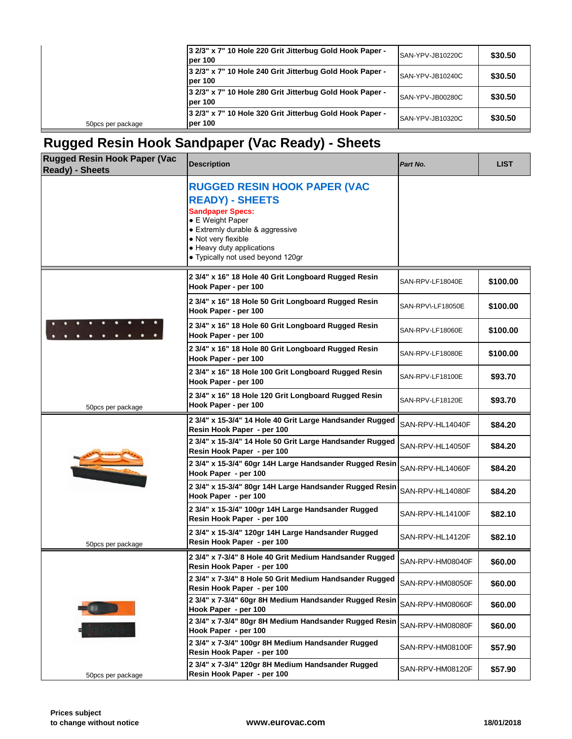|                   | 3 2/3" x 7" 10 Hole 220 Grit Jitterbug Gold Hook Paper -<br>lper 100 | SAN-YPV-JB10220C |
|-------------------|----------------------------------------------------------------------|------------------|
|                   | 3 2/3" x 7" 10 Hole 240 Grit Jitterbug Gold Hook Paper -<br>lper 100 | SAN-YPV-JB10240C |
|                   | 3 2/3" x 7" 10 Hole 280 Grit Jitterbug Gold Hook Paper -<br>lper 100 | SAN-YPV-JB00280C |
| 50pcs per package | 3 2/3" x 7" 10 Hole 320 Grit Jitterbug Gold Hook Paper -<br>per 100  | SAN-YPV-JB10320C |
|                   |                                                                      |                  |

## **Rugged Resin Hook Sandpaper (Vac Ready) - Sheets**

| <b>Rugged Resin Hook Paper (Vac</b><br><b>Ready) - Sheets</b> | <b>Description</b>                                                                                                                                                                                                                       | Part No.          |
|---------------------------------------------------------------|------------------------------------------------------------------------------------------------------------------------------------------------------------------------------------------------------------------------------------------|-------------------|
|                                                               | <b>RUGGED RESIN HOOK PAPER (VAC</b><br><b>READY) - SHEETS</b><br><b>Sandpaper Specs:</b><br>• E Weight Paper<br>• Extremly durable & aggressive<br>• Not very flexible<br>• Heavy duty applications<br>• Typically not used beyond 120gr |                   |
|                                                               | 2 3/4" x 16" 18 Hole 40 Grit Longboard Rugged Resin<br>Hook Paper - per 100                                                                                                                                                              | SAN-RPV-LF18040E  |
|                                                               | 2 3/4" x 16" 18 Hole 50 Grit Longboard Rugged Resin<br>Hook Paper - per 100                                                                                                                                                              | SAN-RPV\-LF18050E |
|                                                               | 2 3/4" x 16" 18 Hole 60 Grit Longboard Rugged Resin<br>Hook Paper - per 100                                                                                                                                                              | SAN-RPV-LF18060E  |
|                                                               | 2 3/4" x 16" 18 Hole 80 Grit Longboard Rugged Resin<br>Hook Paper - per 100                                                                                                                                                              | SAN-RPV-LF18080E  |
|                                                               | 2 3/4" x 16" 18 Hole 100 Grit Longboard Rugged Resin<br>Hook Paper - per 100                                                                                                                                                             | SAN-RPV-LF18100E  |
| 50pcs per package                                             | 2 3/4" x 16" 18 Hole 120 Grit Longboard Rugged Resin<br>Hook Paper - per 100                                                                                                                                                             | SAN-RPV-LF18120E  |
|                                                               | 2 3/4" x 15-3/4" 14 Hole 40 Grit Large Handsander Rugged<br>Resin Hook Paper - per 100                                                                                                                                                   | SAN-RPV-HL14040F  |
|                                                               | 2 3/4" x 15-3/4" 14 Hole 50 Grit Large Handsander Rugged<br>Resin Hook Paper - per 100                                                                                                                                                   | SAN-RPV-HL14050F  |
|                                                               | 2 3/4" x 15-3/4" 60gr 14H Large Handsander Rugged Resin<br>Hook Paper - per 100                                                                                                                                                          | SAN-RPV-HL14060F  |
|                                                               | 2 3/4" x 15-3/4" 80gr 14H Large Handsander Rugged Resin<br>Hook Paper - per 100                                                                                                                                                          | SAN-RPV-HL14080F  |
|                                                               | 2 3/4" x 15-3/4" 100gr 14H Large Handsander Rugged<br>Resin Hook Paper - per 100                                                                                                                                                         | SAN-RPV-HL14100F  |
| 50pcs per package                                             | 2 3/4" x 15-3/4" 120gr 14H Large Handsander Rugged<br>Resin Hook Paper - per 100                                                                                                                                                         | SAN-RPV-HL14120F  |
|                                                               | 2 3/4" x 7-3/4" 8 Hole 40 Grit Medium Handsander Rugged<br>Resin Hook Paper - per 100                                                                                                                                                    | SAN-RPV-HM08040F  |
|                                                               | 2 3/4" x 7-3/4" 8 Hole 50 Grit Medium Handsander Rugged<br>Resin Hook Paper - per 100                                                                                                                                                    | SAN-RPV-HM08050F  |
|                                                               | 2 3/4" x 7-3/4" 60gr 8H Medium Handsander Rugged Resin<br>Hook Paper - per 100                                                                                                                                                           | SAN-RPV-HM08060F  |
|                                                               | 2 3/4" x 7-3/4" 80gr 8H Medium Handsander Rugged Resin<br>Hook Paper - per 100                                                                                                                                                           | SAN-RPV-HM08080F  |
|                                                               | 2 3/4" x 7-3/4" 100gr 8H Medium Handsander Rugged<br>Resin Hook Paper - per 100                                                                                                                                                          | SAN-RPV-HM08100F  |
| 50pcs per package                                             | 2 3/4" x 7-3/4" 120gr 8H Medium Handsander Rugged<br>Resin Hook Paper - per 100                                                                                                                                                          | SAN-RPV-HM08120F  |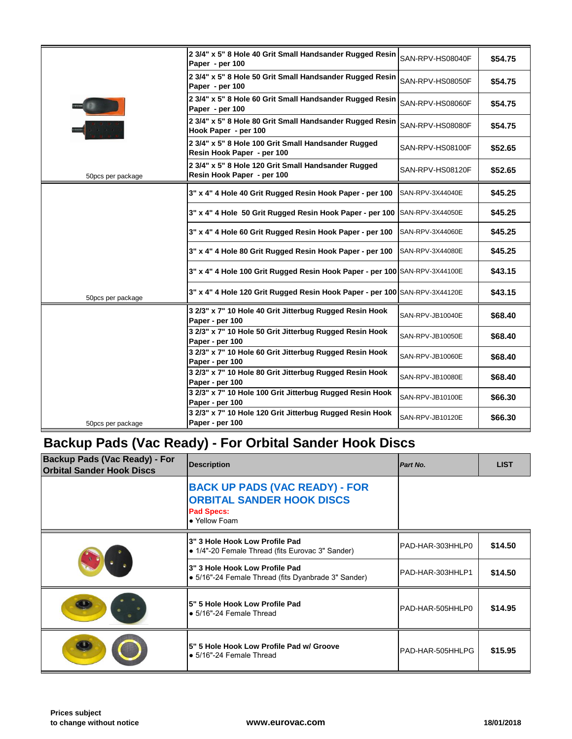|                   | 2 3/4" x 5" 8 Hole 40 Grit Small Handsander Rugged Resin<br>Paper - per 100       | SAN-RPV-HS08040F |
|-------------------|-----------------------------------------------------------------------------------|------------------|
|                   | 2 3/4" x 5" 8 Hole 50 Grit Small Handsander Rugged Resin<br>Paper - per 100       | SAN-RPV-HS08050F |
|                   | 2 3/4" x 5" 8 Hole 60 Grit Small Handsander Rugged Resin<br>Paper - per 100       | SAN-RPV-HS08060F |
|                   | 2 3/4" x 5" 8 Hole 80 Grit Small Handsander Rugged Resin<br>Hook Paper - per 100  | SAN-RPV-HS08080F |
|                   | 2 3/4" x 5" 8 Hole 100 Grit Small Handsander Rugged<br>Resin Hook Paper - per 100 | SAN-RPV-HS08100F |
| 50pcs per package | 2 3/4" x 5" 8 Hole 120 Grit Small Handsander Rugged<br>Resin Hook Paper - per 100 | SAN-RPV-HS08120F |
|                   | 3" x 4" 4 Hole 40 Grit Rugged Resin Hook Paper - per 100                          | SAN-RPV-3X44040E |
|                   | 3" x 4" 4 Hole 50 Grit Rugged Resin Hook Paper - per 100                          | SAN-RPV-3X44050E |
|                   | 3" x 4" 4 Hole 60 Grit Rugged Resin Hook Paper - per 100                          | SAN-RPV-3X44060E |
|                   | 3" x 4" 4 Hole 80 Grit Rugged Resin Hook Paper - per 100                          | SAN-RPV-3X44080E |
|                   | 3" x 4" 4 Hole 100 Grit Rugged Resin Hook Paper - per 100 SAN-RPV-3X44100E        |                  |
| 50pcs per package | 3" x 4" 4 Hole 120 Grit Rugged Resin Hook Paper - per 100 SAN-RPV-3X44120E        |                  |
|                   | 3 2/3" x 7" 10 Hole 40 Grit Jitterbug Rugged Resin Hook<br>Paper - per 100        | SAN-RPV-JB10040E |
|                   | 3 2/3" x 7" 10 Hole 50 Grit Jitterbug Rugged Resin Hook<br>Paper - per 100        | SAN-RPV-JB10050E |
|                   | 3 2/3" x 7" 10 Hole 60 Grit Jitterbug Rugged Resin Hook<br>Paper - per 100        | SAN-RPV-JB10060E |
|                   | 3 2/3" x 7" 10 Hole 80 Grit Jitterbug Rugged Resin Hook<br>Paper - per 100        | SAN-RPV-JB10080E |
|                   | 3 2/3" x 7" 10 Hole 100 Grit Jitterbug Rugged Resin Hook<br>Paper - per 100       | SAN-RPV-JB10100E |
| 50pcs per package | 3 2/3" x 7" 10 Hole 120 Grit Jitterbug Rugged Resin Hook<br>Paper - per 100       | SAN-RPV-JB10120E |
|                   |                                                                                   |                  |

## **Backup Pads (Vac Ready) - For Orbital Sander Hook Discs**

| <b>Backup Pads (Vac Ready) - For</b><br><b>Orbital Sander Hook Discs</b> | <b>Description</b>                                                                                              | Part No.         |
|--------------------------------------------------------------------------|-----------------------------------------------------------------------------------------------------------------|------------------|
|                                                                          | <b>BACK UP PADS (VAC READY) - FOR</b><br><b>ORBITAL SANDER HOOK DISCS</b><br><b>Pad Specs:</b><br>• Yellow Foam |                  |
|                                                                          | 3" 3 Hole Hook Low Profile Pad<br>• 1/4"-20 Female Thread (fits Eurovac 3" Sander)                              | PAD-HAR-303HHLP0 |
|                                                                          | 3" 3 Hole Hook Low Profile Pad<br>· 5/16"-24 Female Thread (fits Dyanbrade 3" Sander)                           | PAD-HAR-303HHLP1 |
|                                                                          | 5" 5 Hole Hook Low Profile Pad<br>$\bullet$ 5/16"-24 Female Thread                                              | PAD-HAR-505HHLP0 |
|                                                                          | 5" 5 Hole Hook Low Profile Pad w/ Groove<br>$\bullet$ 5/16"-24 Female Thread                                    | PAD-HAR-505HHLPG |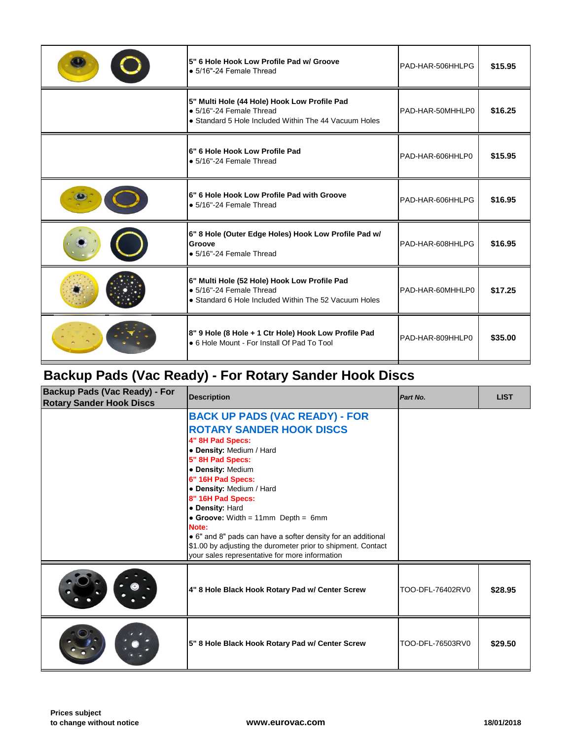| 5" Multi Hole (44 Hole) Hook Low Profile Pad<br>· 5/16"-24 Female Thread<br>PAD-HAR-50MHHLP0<br>• Standard 5 Hole Included Within The 44 Vacuum Holes<br>6" 6 Hole Hook Low Profile Pad<br>PAD-HAR-606HHLP0<br>• 5/16"-24 Female Thread<br>6" 6 Hole Hook Low Profile Pad with Groove<br>PAD-HAR-606HHLPG<br>• 5/16"-24 Female Thread<br>6" 8 Hole (Outer Edge Holes) Hook Low Profile Pad w/<br>Groove<br>PAD-HAR-608HHLPG<br>• 5/16"-24 Female Thread<br>6" Multi Hole (52 Hole) Hook Low Profile Pad<br>· 5/16"-24 Female Thread<br>PAD-HAR-60MHHLP0<br>• Standard 6 Hole Included Within The 52 Vacuum Holes<br>8" 9 Hole (8 Hole + 1 Ctr Hole) Hook Low Profile Pad<br>PAD-HAR-809HHLP0<br>• 6 Hole Mount - For Install Of Pad To Tool | 5" 6 Hole Hook Low Profile Pad w/ Groove<br>• 5/16"-24 Female Thread | PAD-HAR-506HHLPG |
|---------------------------------------------------------------------------------------------------------------------------------------------------------------------------------------------------------------------------------------------------------------------------------------------------------------------------------------------------------------------------------------------------------------------------------------------------------------------------------------------------------------------------------------------------------------------------------------------------------------------------------------------------------------------------------------------------------------------------------------------|----------------------------------------------------------------------|------------------|
|                                                                                                                                                                                                                                                                                                                                                                                                                                                                                                                                                                                                                                                                                                                                             |                                                                      |                  |
|                                                                                                                                                                                                                                                                                                                                                                                                                                                                                                                                                                                                                                                                                                                                             |                                                                      |                  |
|                                                                                                                                                                                                                                                                                                                                                                                                                                                                                                                                                                                                                                                                                                                                             |                                                                      |                  |
|                                                                                                                                                                                                                                                                                                                                                                                                                                                                                                                                                                                                                                                                                                                                             |                                                                      |                  |
|                                                                                                                                                                                                                                                                                                                                                                                                                                                                                                                                                                                                                                                                                                                                             |                                                                      |                  |
|                                                                                                                                                                                                                                                                                                                                                                                                                                                                                                                                                                                                                                                                                                                                             |                                                                      |                  |

## **Backup Pads (Vac Ready) - For Rotary Sander Hook Discs**

| <b>Backup Pads (Vac Ready) - For</b><br><b>Rotary Sander Hook Discs</b> | <b>Description</b>                                                                                                                                                                                                                                                                                                                                                                                                                                                                              | Part No.         |
|-------------------------------------------------------------------------|-------------------------------------------------------------------------------------------------------------------------------------------------------------------------------------------------------------------------------------------------------------------------------------------------------------------------------------------------------------------------------------------------------------------------------------------------------------------------------------------------|------------------|
|                                                                         | <b>BACK UP PADS (VAC READY) - FOR</b><br><b>ROTARY SANDER HOOK DISCS</b><br>4" 8H Pad Specs:<br>• Density: Medium / Hard<br>5" 8H Pad Specs:<br>· Density: Medium<br>6" 16H Pad Specs:<br>• Density: Medium / Hard<br>8" 16H Pad Specs:<br>• Density: Hard<br>• Groove: Width = $11mm$ Depth = $6mm$<br>Note:<br>• 6" and 8" pads can have a softer density for an additional<br>\$1.00 by adjusting the durometer prior to shipment. Contact<br>your sales representative for more information |                  |
|                                                                         | 4" 8 Hole Black Hook Rotary Pad w/ Center Screw                                                                                                                                                                                                                                                                                                                                                                                                                                                 | TOO-DFL-76402RV0 |
|                                                                         | 5" 8 Hole Black Hook Rotary Pad w/ Center Screw                                                                                                                                                                                                                                                                                                                                                                                                                                                 | TOO-DFL-76503RV0 |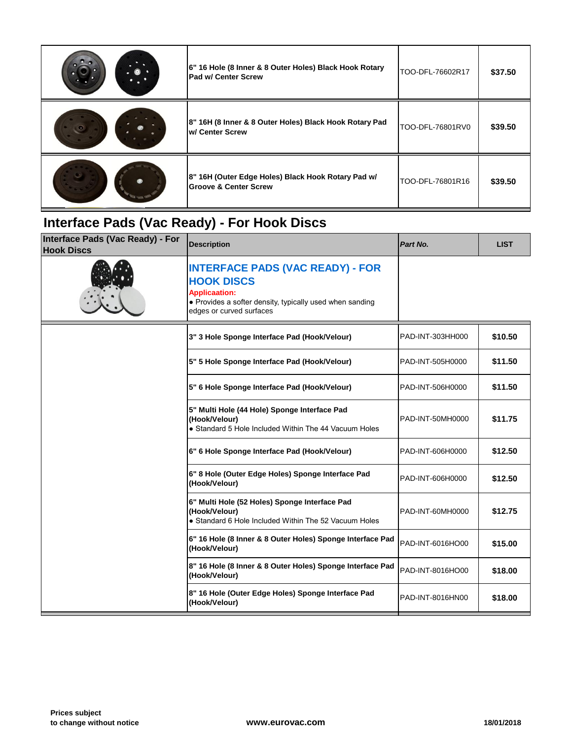| 6" 16 Hole (8 Inner & 8 Outer Holes) Black Hook Rotary<br><b>Pad w/ Center Screw</b>   | TOO-DFL-76602R17 |
|----------------------------------------------------------------------------------------|------------------|
| 8" 16H (8 Inner & 8 Outer Holes) Black Hook Rotary Pad<br>w/ Center Screw              | TOO-DFL-76801RV0 |
| 8" 16H (Outer Edge Holes) Black Hook Rotary Pad w/<br><b>Groove &amp; Center Screw</b> | TOO-DFL-76801R16 |

## **Interface Pads (Vac Ready) - For Hook Discs**

| Interface Pads (Vac Ready) - For<br><b>Hook Discs</b> | <b>Description</b>                                                                                                                                                           | Part No.         |
|-------------------------------------------------------|------------------------------------------------------------------------------------------------------------------------------------------------------------------------------|------------------|
|                                                       | <b>INTERFACE PADS (VAC READY) - FOR</b><br><b>HOOK DISCS</b><br><b>Applicaation:</b><br>• Provides a softer density, typically used when sanding<br>edges or curved surfaces |                  |
|                                                       | 3" 3 Hole Sponge Interface Pad (Hook/Velour)                                                                                                                                 | PAD-INT-303HH000 |
|                                                       | 5" 5 Hole Sponge Interface Pad (Hook/Velour)                                                                                                                                 | PAD-INT-505H0000 |
|                                                       | 5" 6 Hole Sponge Interface Pad (Hook/Velour)                                                                                                                                 | PAD-INT-506H0000 |
|                                                       | 5" Multi Hole (44 Hole) Sponge Interface Pad<br>(Hook/Velour)<br>• Standard 5 Hole Included Within The 44 Vacuum Holes                                                       | PAD-INT-50MH0000 |
|                                                       | 6" 6 Hole Sponge Interface Pad (Hook/Velour)                                                                                                                                 | PAD-INT-606H0000 |
|                                                       | 6" 8 Hole (Outer Edge Holes) Sponge Interface Pad<br>(Hook/Velour)                                                                                                           | PAD-INT-606H0000 |
|                                                       | 6" Multi Hole (52 Holes) Sponge Interface Pad<br>(Hook/Velour)<br>• Standard 6 Hole Included Within The 52 Vacuum Holes                                                      | PAD-INT-60MH0000 |
|                                                       | 6" 16 Hole (8 Inner & 8 Outer Holes) Sponge Interface Pad<br>(Hook/Velour)                                                                                                   | PAD-INT-6016HO00 |
|                                                       | 8" 16 Hole (8 Inner & 8 Outer Holes) Sponge Interface Pad<br>(Hook/Velour)                                                                                                   | PAD-INT-8016HO00 |
|                                                       | 8" 16 Hole (Outer Edge Holes) Sponge Interface Pad<br>(Hook/Velour)                                                                                                          | PAD-INT-8016HN00 |
|                                                       |                                                                                                                                                                              |                  |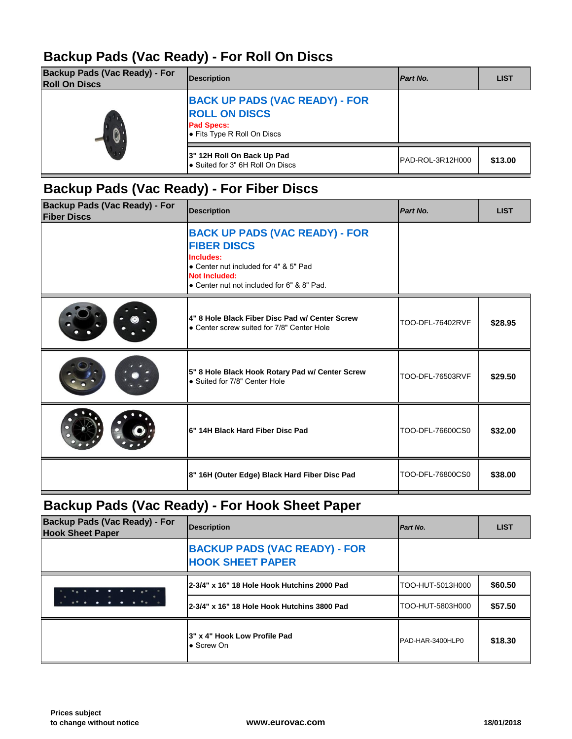#### **Backup Pads (Vac Ready) - For Roll On Discs**

| <b>Backup Pads (Vac Ready) - For</b><br><b>Roll On Discs</b> | <b>Description</b>                                                                                                | Part No.         |
|--------------------------------------------------------------|-------------------------------------------------------------------------------------------------------------------|------------------|
|                                                              | <b>BACK UP PADS (VAC READY) - FOR</b><br><b>ROLL ON DISCS</b><br><b>Pad Specs:</b><br>• Fits Type R Roll On Discs |                  |
|                                                              | 3" 12H Roll On Back Up Pad<br>Suited for 3" 6H Roll On Discs                                                      | PAD-ROL-3R12H000 |

### **Backup Pads (Vac Ready) - For Fiber Discs**

| <b>BACK UP PADS (VAC READY) - FOR</b><br><b>FIBER DISCS</b>                                                              |
|--------------------------------------------------------------------------------------------------------------------------|
| Includes:<br>• Center nut included for 4" & 5" Pad<br><b>Not Included:</b><br>• Center nut not included for 6" & 8" Pad. |
| 4" 8 Hole Black Fiber Disc Pad w/ Center Screw<br>TOO-DFL-76402RVF<br>• Center screw suited for 7/8" Center Hole         |
| 5" 8 Hole Black Hook Rotary Pad w/ Center Screw<br>TOO-DFL-76503RVF<br>• Suited for 7/8" Center Hole                     |
| 6" 14H Black Hard Fiber Disc Pad<br>TOO-DFL-76600CS0                                                                     |
| 8" 16H (Outer Edge) Black Hard Fiber Disc Pad<br>TOO-DFL-76800CS0                                                        |

### **Backup Pads (Vac Ready) - For Hook Sheet Paper**

| <b>Backup Pads (Vac Ready) - For</b><br><b>Hook Sheet Paper</b> | Description                                                     | Part No.         |
|-----------------------------------------------------------------|-----------------------------------------------------------------|------------------|
|                                                                 | <b>BACKUP PADS (VAC READY) - FOR</b><br><b>HOOK SHEET PAPER</b> |                  |
|                                                                 | 2-3/4" x 16" 18 Hole Hook Hutchins 2000 Pad                     | TOO-HUT-5013H000 |
|                                                                 | 2-3/4" x 16" 18 Hole Hook Hutchins 3800 Pad                     | TOO-HUT-5803H000 |
|                                                                 | 3" x 4" Hook Low Profile Pad<br>$\bullet$ Screw On              | PAD-HAR-3400HLP0 |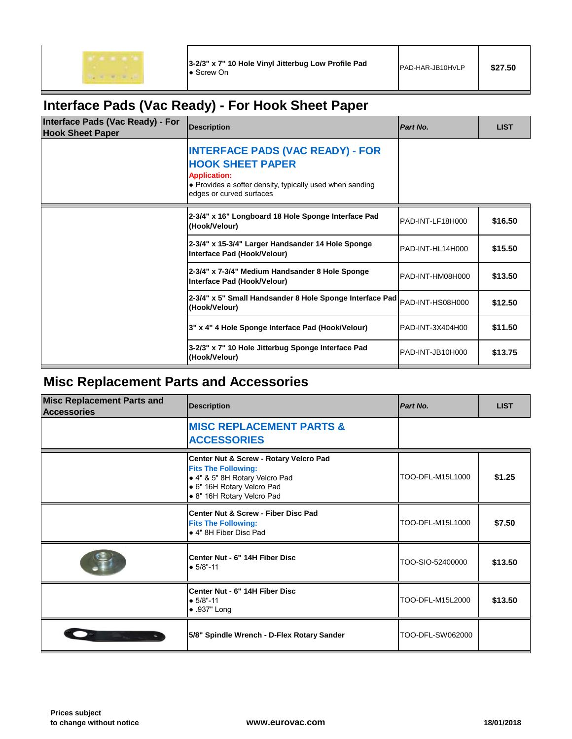$10 - 100$ 

### **Interface Pads (Vac Ready) - For Hook Sheet Paper**

| Interface Pads (Vac Ready) - For<br><b>Hook Sheet Paper</b> | <b>Description</b>                                                                                                                                                                | Part No.         |
|-------------------------------------------------------------|-----------------------------------------------------------------------------------------------------------------------------------------------------------------------------------|------------------|
|                                                             | <b>INTERFACE PADS (VAC READY) - FOR</b><br><b>HOOK SHEET PAPER</b><br><b>Application:</b><br>• Provides a softer density, typically used when sanding<br>edges or curved surfaces |                  |
|                                                             | 2-3/4" x 16" Longboard 18 Hole Sponge Interface Pad<br>(Hook/Velour)                                                                                                              | PAD-INT-LF18H000 |
|                                                             | 2-3/4" x 15-3/4" Larger Handsander 14 Hole Sponge<br>Interface Pad (Hook/Velour)                                                                                                  | PAD-INT-HL14H000 |
|                                                             | 2-3/4" x 7-3/4" Medium Handsander 8 Hole Sponge<br>Interface Pad (Hook/Velour)                                                                                                    | PAD-INT-HM08H000 |
|                                                             | 2-3/4" x 5" Small Handsander 8 Hole Sponge Interface Pad<br>(Hook/Velour)                                                                                                         | PAD-INT-HS08H000 |
|                                                             | 3" x 4" 4 Hole Sponge Interface Pad (Hook/Velour)                                                                                                                                 | PAD-INT-3X404H00 |
|                                                             | 3-2/3" x 7" 10 Hole Jitterbug Sponge Interface Pad<br>(Hook/Velour)                                                                                                               | PAD-INT-JB10H000 |

### **Misc Replacement Parts and Accessories**

| <b>Misc Replacement Parts and</b><br><b>Accessories</b> | <b>Description</b>                                                                                                                                                 | Part No.         |
|---------------------------------------------------------|--------------------------------------------------------------------------------------------------------------------------------------------------------------------|------------------|
|                                                         | <b>MISC REPLACEMENT PARTS &amp;</b><br><b>ACCESSORIES</b>                                                                                                          |                  |
|                                                         | Center Nut & Screw - Rotary Velcro Pad<br><b>Fits The Following:</b><br>• 4" & 5" 8H Rotary Velcro Pad<br>• 6" 16H Rotary Velcro Pad<br>• 8" 16H Rotary Velcro Pad | TOO-DFL-M15L1000 |
|                                                         | Center Nut & Screw - Fiber Disc Pad<br><b>Fits The Following:</b><br>● 4" 8H Fiber Disc Pad                                                                        | TOO-DFL-M15L1000 |
|                                                         | Center Nut - 6" 14H Fiber Disc<br>$• 5/8" - 11$                                                                                                                    | TOO-SIO-52400000 |
|                                                         | Center Nut - 6" 14H Fiber Disc<br>$• 5/8" - 11$<br>$\bullet$ .937" Long                                                                                            | TOO-DFL-M15L2000 |
|                                                         | 5/8" Spindle Wrench - D-Flex Rotary Sander                                                                                                                         | TOO-DFL-SW062000 |